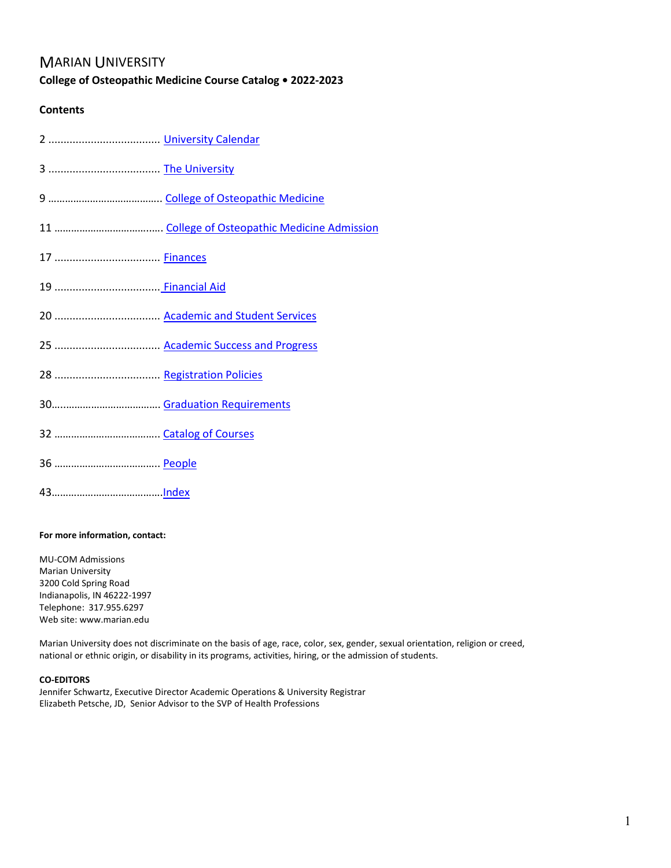# MARIAN UNIVERSITY

# **College of Osteopathic Medicine Course Catalog • 2022-2023**

# **Contents**

### <span id="page-0-0"></span>**For more information, contact:**

MU-COM Admissions Marian University 3200 Cold Spring Road Indianapolis, IN 46222-1997 Telephone: 317.955.6297 Web site: www.marian.edu

Marian University does not discriminate on the basis of age, race, color, sex, gender, sexual orientation, religion or creed, national or ethnic origin, or disability in its programs, activities, hiring, or the admission of students.

### **CO-EDITORS**

Jennifer Schwartz, Executive Director Academic Operations & University Registrar Elizabeth Petsche, JD, Senior Advisor to the SVP of Health Professions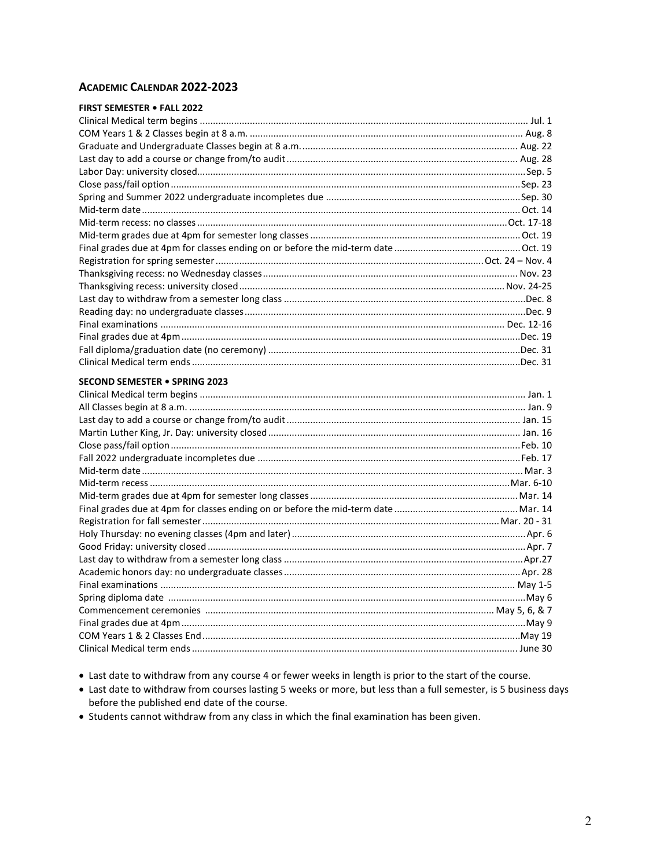# <span id="page-1-0"></span>**ACADEMIC CALENDAR 2022-2023**

| <b>FIRST SEMESTER . FALL 2022</b> |  |
|-----------------------------------|--|
|                                   |  |
|                                   |  |
|                                   |  |
|                                   |  |
|                                   |  |
|                                   |  |
|                                   |  |
|                                   |  |
|                                   |  |
|                                   |  |
|                                   |  |
|                                   |  |
|                                   |  |
|                                   |  |
|                                   |  |
|                                   |  |
|                                   |  |
|                                   |  |
|                                   |  |
|                                   |  |
| SECOND SEMESTER . SPRING 2023     |  |
|                                   |  |
|                                   |  |
|                                   |  |
|                                   |  |
|                                   |  |
|                                   |  |
|                                   |  |
|                                   |  |
|                                   |  |
|                                   |  |
|                                   |  |
|                                   |  |
|                                   |  |
|                                   |  |
|                                   |  |
|                                   |  |
|                                   |  |
|                                   |  |
|                                   |  |
|                                   |  |
|                                   |  |

- Last date to withdraw from any course 4 or fewer weeks in length is prior to the start of the course.
- Last date to withdraw from courses lasting 5 weeks or more, but less than a full semester, is 5 business days before the published end date of the course.
- Students cannot withdraw from any class in which the final examination has been given.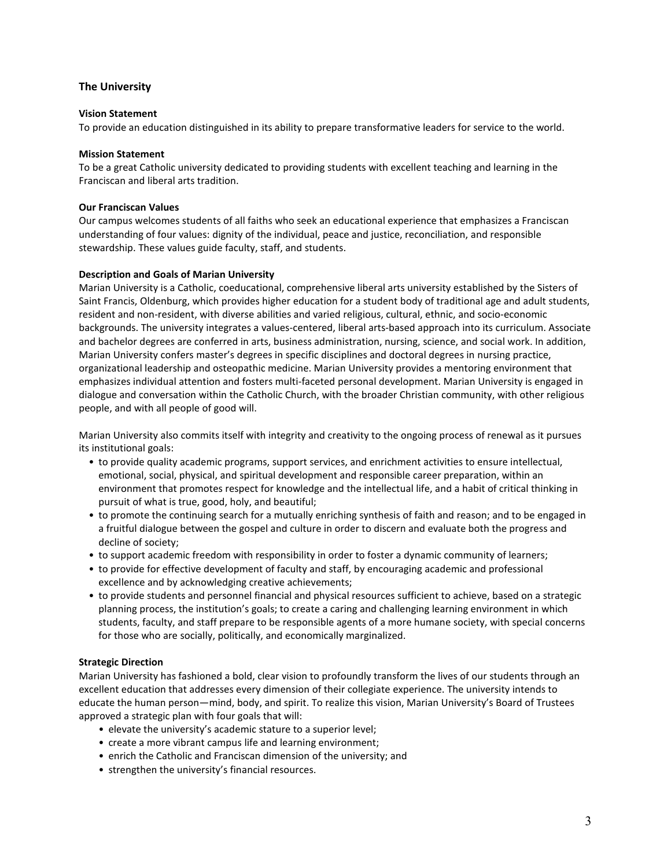## <span id="page-2-0"></span>**The University**

#### <span id="page-2-5"></span>**Vision Statement**

To provide an education distinguished in its ability to prepare transformative leaders for service to the world.

#### <span id="page-2-2"></span>**Mission Statement**

To be a great Catholic university dedicated to providing students with excellent teaching and learning in the Franciscan and liberal arts tradition.

#### <span id="page-2-4"></span>**Our Franciscan Values**

Our campus welcomes students of all faiths who seek an educational experience that emphasizes a Franciscan understanding of four values: dignity of the individual, peace and justice, reconciliation, and responsible stewardship. These values guide faculty, staff, and students.

#### <span id="page-2-1"></span>**Description and Goals of Marian University**

Marian University is a Catholic, coeducational, comprehensive liberal arts university established by the Sisters of Saint Francis, Oldenburg, which provides higher education for a student body of traditional age and adult students, resident and non-resident, with diverse abilities and varied religious, cultural, ethnic, and socio-economic backgrounds. The university integrates a values-centered, liberal arts-based approach into its curriculum. Associate and bachelor degrees are conferred in arts, business administration, nursing, science, and social work. In addition, Marian University confers master's degrees in specific disciplines and doctoral degrees in nursing practice, organizational leadership and osteopathic medicine. Marian University provides a mentoring environment that emphasizes individual attention and fosters multi-faceted personal development. Marian University is engaged in dialogue and conversation within the Catholic Church, with the broader Christian community, with other religious people, and with all people of good will.

Marian University also commits itself with integrity and creativity to the ongoing process of renewal as it pursues its institutional goals:

- to provide quality academic programs, support services, and enrichment activities to ensure intellectual, emotional, social, physical, and spiritual development and responsible career preparation, within an environment that promotes respect for knowledge and the intellectual life, and a habit of critical thinking in pursuit of what is true, good, holy, and beautiful;
- to promote the continuing search for a mutually enriching synthesis of faith and reason; and to be engaged in a fruitful dialogue between the gospel and culture in order to discern and evaluate both the progress and decline of society;
- to support academic freedom with responsibility in order to foster a dynamic community of learners;
- to provide for effective development of faculty and staff, by encouraging academic and professional excellence and by acknowledging creative achievements;
- to provide students and personnel financial and physical resources sufficient to achieve, based on a strategic planning process, the institution's goals; to create a caring and challenging learning environment in which students, faculty, and staff prepare to be responsible agents of a more humane society, with special concerns for those who are socially, politically, and economically marginalized.

### <span id="page-2-3"></span>**Strategic Direction**

Marian University has fashioned a bold, clear vision to profoundly transform the lives of our students through an excellent education that addresses every dimension of their collegiate experience. The university intends to educate the human person—mind, body, and spirit. To realize this vision, Marian University's Board of Trustees approved a strategic plan with four goals that will:

- elevate the university's academic stature to a superior level;
- create a more vibrant campus life and learning environment;
- enrich the Catholic and Franciscan dimension of the university; and
- strengthen the university's financial resources.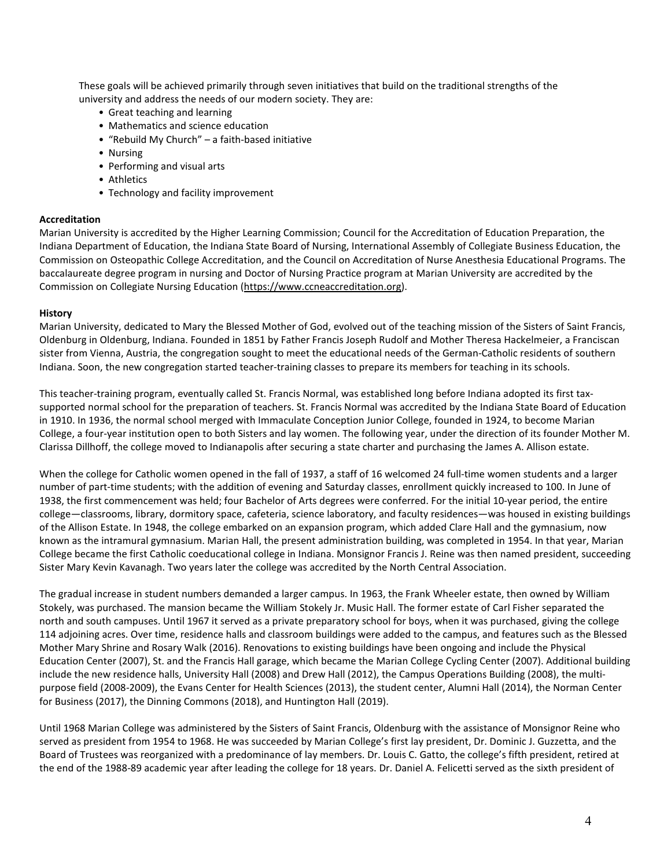These goals will be achieved primarily through seven initiatives that build on the traditional strengths of the university and address the needs of our modern society. They are:

- Great teaching and learning
- Mathematics and science education
- "Rebuild My Church" a faith-based initiative
- Nursing
- Performing and visual arts
- Athletics
- Technology and facility improvement

#### **Accreditation**

Marian University is accredited by the Higher Learning Commission; Council for the Accreditation of Education Preparation, the Indiana Department of Education, the Indiana State Board of Nursing, International Assembly of Collegiate Business Education, the Commission on Osteopathic College Accreditation, and the Council on Accreditation of Nurse Anesthesia Educational Programs. The baccalaureate degree program in nursing and Doctor of Nursing Practice program at Marian University are accredited by the Commission on Collegiate Nursing Education [\(https://www.ccneaccreditation.org\)](https://www.ccneaccreditation.org/).

#### <span id="page-3-0"></span>**History**

Marian University, dedicated to Mary the Blessed Mother of God, evolved out of the teaching mission of the Sisters of Saint Francis, Oldenburg in Oldenburg, Indiana. Founded in 1851 by Father Francis Joseph Rudolf and Mother Theresa Hackelmeier, a Franciscan sister from Vienna, Austria, the congregation sought to meet the educational needs of the German-Catholic residents of southern Indiana. Soon, the new congregation started teacher-training classes to prepare its members for teaching in its schools.

This teacher-training program, eventually called St. Francis Normal, was established long before Indiana adopted its first taxsupported normal school for the preparation of teachers. St. Francis Normal was accredited by the Indiana State Board of Education in 1910. In 1936, the normal school merged with Immaculate Conception Junior College, founded in 1924, to become Marian College, a four-year institution open to both Sisters and lay women. The following year, under the direction of its founder Mother M. Clarissa Dillhoff, the college moved to Indianapolis after securing a state charter and purchasing the James A. Allison estate.

When the college for Catholic women opened in the fall of 1937, a staff of 16 welcomed 24 full-time women students and a larger number of part-time students; with the addition of evening and Saturday classes, enrollment quickly increased to 100. In June of 1938, the first commencement was held; four Bachelor of Arts degrees were conferred. For the initial 10-year period, the entire college—classrooms, library, dormitory space, cafeteria, science laboratory, and faculty residences—was housed in existing buildings of the Allison Estate. In 1948, the college embarked on an expansion program, which added Clare Hall and the gymnasium, now known as the intramural gymnasium. Marian Hall, the present administration building, was completed in 1954. In that year, Marian College became the first Catholic coeducational college in Indiana. Monsignor Francis J. Reine was then named president, succeeding Sister Mary Kevin Kavanagh. Two years later the college was accredited by the North Central Association.

The gradual increase in student numbers demanded a larger campus. In 1963, the Frank Wheeler estate, then owned by William Stokely, was purchased. The mansion became the William Stokely Jr. Music Hall. The former estate of Carl Fisher separated the north and south campuses. Until 1967 it served as a private preparatory school for boys, when it was purchased, giving the college 114 adjoining acres. Over time, residence halls and classroom buildings were added to the campus, and features such as the Blessed Mother Mary Shrine and Rosary Walk (2016). Renovations to existing buildings have been ongoing and include the Physical Education Center (2007), St. and the Francis Hall garage, which became the Marian College Cycling Center (2007). Additional building include the new residence halls, University Hall (2008) and Drew Hall (2012), the Campus Operations Building (2008), the multipurpose field (2008-2009), the Evans Center for Health Sciences (2013), the student center, Alumni Hall (2014), the Norman Center for Business (2017), the Dinning Commons (2018), and Huntington Hall (2019).

Until 1968 Marian College was administered by the Sisters of Saint Francis, Oldenburg with the assistance of Monsignor Reine who served as president from 1954 to 1968. He was succeeded by Marian College's first lay president, Dr. Dominic J. Guzzetta, and the Board of Trustees was reorganized with a predominance of lay members. Dr. Louis C. Gatto, the college's fifth president, retired at the end of the 1988-89 academic year after leading the college for 18 years. Dr. Daniel A. Felicetti served as the sixth president of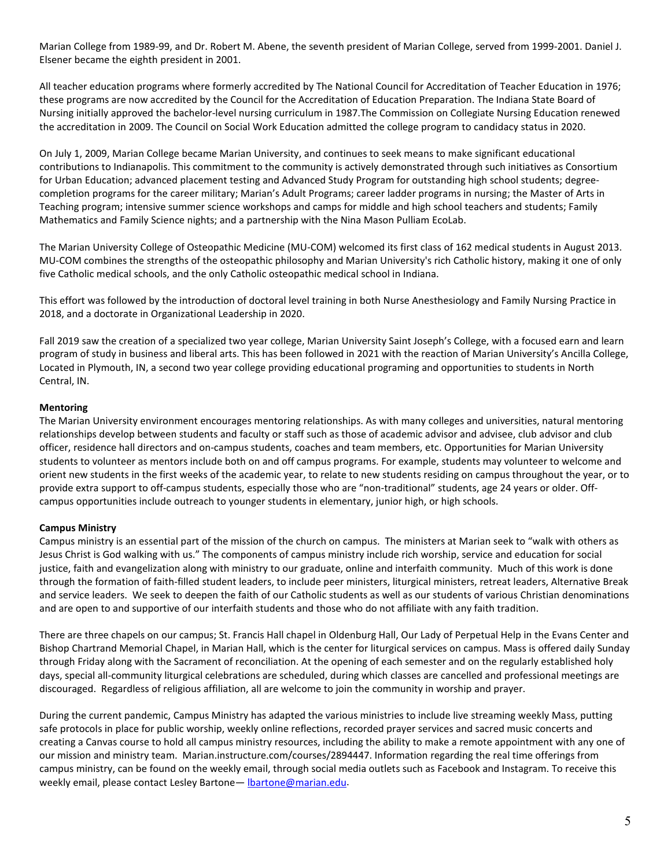Marian College from 1989-99, and Dr. Robert M. Abene, the seventh president of Marian College, served from 1999-2001. Daniel J. Elsener became the eighth president in 2001.

All teacher education programs where formerly accredited by The National Council for Accreditation of Teacher Education in 1976; these programs are now accredited by the Council for the Accreditation of Education Preparation. The Indiana State Board of Nursing initially approved the bachelor-level nursing curriculum in 1987.The Commission on Collegiate Nursing Education renewed the accreditation in 2009. The Council on Social Work Education admitted the college program to candidacy status in 2020.

On July 1, 2009, Marian College became Marian University, and continues to seek means to make significant educational contributions to Indianapolis. This commitment to the community is actively demonstrated through such initiatives as Consortium for Urban Education; advanced placement testing and Advanced Study Program for outstanding high school students; degreecompletion programs for the career military; Marian's Adult Programs; career ladder programs in nursing; the Master of Arts in Teaching program; intensive summer science workshops and camps for middle and high school teachers and students; Family Mathematics and Family Science nights; and a partnership with the Nina Mason Pulliam EcoLab.

The Marian University College of Osteopathic Medicine (MU-COM) welcomed its first class of 162 medical students in August 2013. MU-COM combines the strengths of the osteopathic philosophy and Marian University's rich Catholic history, making it one of only five Catholic medical schools, and the only Catholic osteopathic medical school in Indiana.

This effort was followed by the introduction of doctoral level training in both Nurse Anesthesiology and Family Nursing Practice in 2018, and a doctorate in Organizational Leadership in 2020.

Fall 2019 saw the creation of a specialized two year college, Marian University Saint Joseph's College, with a focused earn and learn program of study in business and liberal arts. This has been followed in 2021 with the reaction of Marian University's Ancilla College, Located in Plymouth, IN, a second two year college providing educational programing and opportunities to students in North Central, IN.

### <span id="page-4-0"></span>**Mentoring**

The Marian University environment encourages mentoring relationships. As with many colleges and universities, natural mentoring relationships develop between students and faculty or staff such as those of academic advisor and advisee, club advisor and club officer, residence hall directors and on-campus students, coaches and team members, etc. Opportunities for Marian University students to volunteer as mentors include both on and off campus programs. For example, students may volunteer to welcome and orient new students in the first weeks of the academic year, to relate to new students residing on campus throughout the year, or to provide extra support to off-campus students, especially those who are "non-traditional" students, age 24 years or older. Offcampus opportunities include outreach to younger students in elementary, junior high, or high schools.

### **Campus Ministry**

Campus ministry is an essential part of the mission of the church on campus. The ministers at Marian seek to "walk with others as Jesus Christ is God walking with us." The components of campus ministry include rich worship, service and education for social justice, faith and evangelization along with ministry to our graduate, online and interfaith community. Much of this work is done through the formation of faith-filled student leaders, to include peer ministers, liturgical ministers, retreat leaders, Alternative Break and service leaders. We seek to deepen the faith of our Catholic students as well as our students of various Christian denominations and are open to and supportive of our interfaith students and those who do not affiliate with any faith tradition.

There are three chapels on our campus; St. Francis Hall chapel in Oldenburg Hall, Our Lady of Perpetual Help in the Evans Center and Bishop Chartrand Memorial Chapel, in Marian Hall, which is the center for liturgical services on campus. Mass is offered daily Sunday through Friday along with the Sacrament of reconciliation. At the opening of each semester and on the regularly established holy days, special all-community liturgical celebrations are scheduled, during which classes are cancelled and professional meetings are discouraged. Regardless of religious affiliation, all are welcome to join the community in worship and prayer.

During the current pandemic, Campus Ministry has adapted the various ministries to include live streaming weekly Mass, putting safe protocols in place for public worship, weekly online reflections, recorded prayer services and sacred music concerts and creating a Canvas course to hold all campus ministry resources, including the ability to make a remote appointment with any one of our mission and ministry team. Marian.instructure.com/courses/2894447. Information regarding the real time offerings from campus ministry, can be found on the weekly email, through social media outlets such as Facebook and Instagram. To receive this weekly email, please contact Lesley Bartone - lbartone@marian.edu.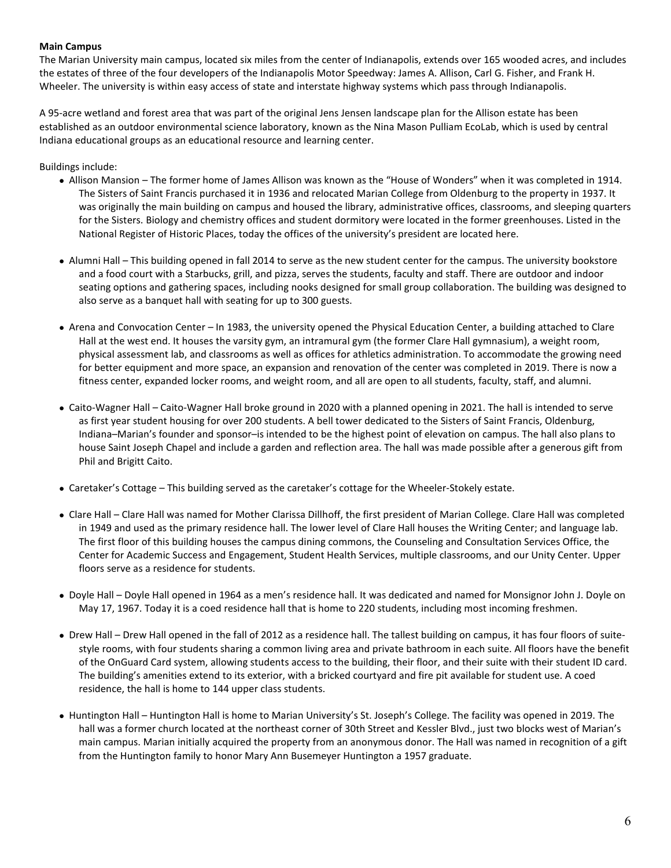### **Main Campus**

The Marian University main campus, located six miles from the center of Indianapolis, extends over 165 wooded acres, and includes the estates of three of the four developers of the Indianapolis Motor Speedway: James A. Allison, Carl G. Fisher, and Frank H. Wheeler. The university is within easy access of state and interstate highway systems which pass through Indianapolis.

A 95-acre wetland and forest area that was part of the original Jens Jensen landscape plan for the Allison estate has been established as an outdoor environmental science laboratory, known as the Nina Mason Pulliam EcoLab, which is used by central Indiana educational groups as an educational resource and learning center.

#### Buildings include:

- Allison Mansion The former home of James Allison was known as the "House of Wonders" when it was completed in 1914. The Sisters of Saint Francis purchased it in 1936 and relocated Marian College from Oldenburg to the property in 1937. It was originally the main building on campus and housed the library, administrative offices, classrooms, and sleeping quarters for the Sisters. Biology and chemistry offices and student dormitory were located in the former greenhouses. Listed in the National Register of Historic Places, today the offices of the university's president are located here.
- Alumni Hall This building opened in fall 2014 to serve as the new student center for the campus. The university bookstore and a food court with a Starbucks, grill, and pizza, serves the students, faculty and staff. There are outdoor and indoor seating options and gathering spaces, including nooks designed for small group collaboration. The building was designed to also serve as a banquet hall with seating for up to 300 guests.
- Arena and Convocation Center In 1983, the university opened the Physical Education Center, a building attached to Clare Hall at the west end. It houses the varsity gym, an intramural gym (the former Clare Hall gymnasium), a weight room, physical assessment lab, and classrooms as well as offices for athletics administration. To accommodate the growing need for better equipment and more space, an expansion and renovation of the center was completed in 2019. There is now a fitness center, expanded locker rooms, and weight room, and all are open to all students, faculty, staff, and alumni.
- Caito-Wagner Hall Caito-Wagner Hall broke ground in 2020 with a planned opening in 2021. The hall is intended to serve as first year student housing for over 200 students. A bell tower dedicated to the Sisters of Saint Francis, Oldenburg, Indiana–Marian's founder and sponsor–is intended to be the highest point of elevation on campus. The hall also plans to house Saint Joseph Chapel and include a garden and reflection area. The hall was made possible after a generous gift from Phil and Brigitt Caito.
- Caretaker's Cottage This building served as the caretaker's cottage for the Wheeler-Stokely estate.
- Clare Hall Clare Hall was named for Mother Clarissa Dillhoff, the first president of Marian College. Clare Hall was completed in 1949 and used as the primary residence hall. The lower level of Clare Hall houses the Writing Center; and language lab. The first floor of this building houses the campus dining commons, the Counseling and Consultation Services Office, the Center for Academic Success and Engagement, Student Health Services, multiple classrooms, and our Unity Center. Upper floors serve as a residence for students.
- Doyle Hall Doyle Hall opened in 1964 as a men's residence hall. It was dedicated and named for Monsignor John J. Doyle on May 17, 1967. Today it is a coed residence hall that is home to 220 students, including most incoming freshmen.
- Drew Hall Drew Hall opened in the fall of 2012 as a residence hall. The tallest building on campus, it has four floors of suitestyle rooms, with four students sharing a common living area and private bathroom in each suite. All floors have the benefit of the OnGuard Card system, allowing students access to the building, their floor, and their suite with their student ID card. The building's amenities extend to its exterior, with a bricked courtyard and fire pit available for student use. A coed residence, the hall is home to 144 upper class students.
- Huntington Hall Huntington Hall is home to Marian University's St. Joseph's College. The facility was opened in 2019. The hall was a former church located at the northeast corner of 30th Street and Kessler Blvd., just two blocks west of Marian's main campus. Marian initially acquired the property from an anonymous donor. The Hall was named in recognition of a gift from the Huntington family to honor Mary Ann Busemeyer Huntington a 1957 graduate.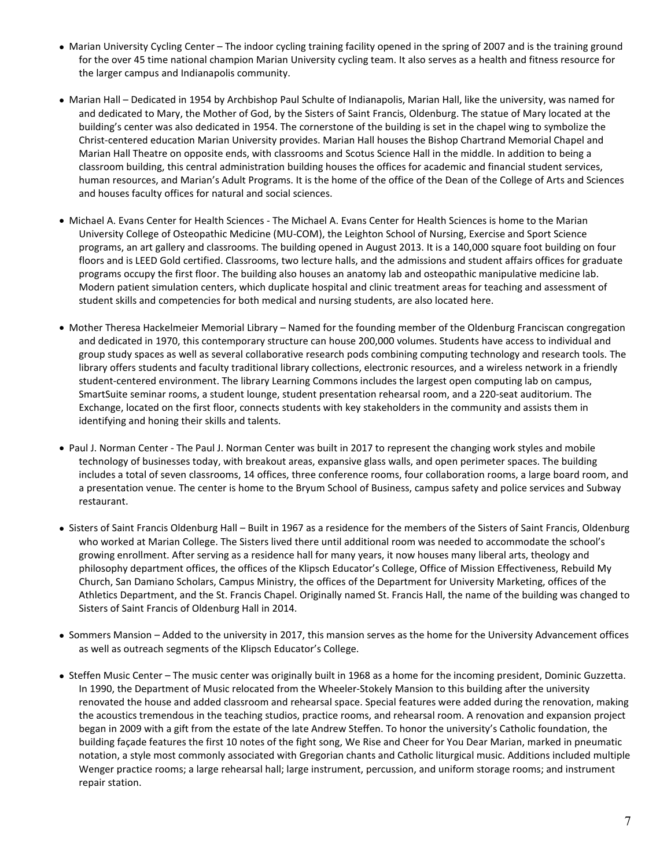- Marian University Cycling Center The indoor cycling training facility opened in the spring of 2007 and is the training ground for the over 45 time national champion Marian University cycling team. It also serves as a health and fitness resource for the larger campus and Indianapolis community.
- Marian Hall Dedicated in 1954 by Archbishop Paul Schulte of Indianapolis, Marian Hall, like the university, was named for and dedicated to Mary, the Mother of God, by the Sisters of Saint Francis, Oldenburg. The statue of Mary located at the building's center was also dedicated in 1954. The cornerstone of the building is set in the chapel wing to symbolize the Christ-centered education Marian University provides. Marian Hall houses the Bishop Chartrand Memorial Chapel and Marian Hall Theatre on opposite ends, with classrooms and Scotus Science Hall in the middle. In addition to being a classroom building, this central administration building houses the offices for academic and financial student services, human resources, and Marian's Adult Programs. It is the home of the office of the Dean of the College of Arts and Sciences and houses faculty offices for natural and social sciences.
- Michael A. Evans Center for Health Sciences The Michael A. Evans Center for Health Sciences is home to the Marian University College of Osteopathic Medicine (MU-COM), the Leighton School of Nursing, Exercise and Sport Science programs, an art gallery and classrooms. The building opened in August 2013. It is a 140,000 square foot building on four floors and is LEED Gold certified. Classrooms, two lecture halls, and the admissions and student affairs offices for graduate programs occupy the first floor. The building also houses an anatomy lab and osteopathic manipulative medicine lab. Modern patient simulation centers, which duplicate hospital and clinic treatment areas for teaching and assessment of student skills and competencies for both medical and nursing students, are also located here.
- Mother Theresa Hackelmeier Memorial Library Named for the founding member of the Oldenburg Franciscan congregation and dedicated in 1970, this contemporary structure can house 200,000 volumes. Students have access to individual and group study spaces as well as several collaborative research pods combining computing technology and research tools. The library offers students and faculty traditional library collections, electronic resources, and a wireless network in a friendly student-centered environment. The library Learning Commons includes the largest open computing lab on campus, SmartSuite seminar rooms, a student lounge, student presentation rehearsal room, and a 220-seat auditorium. The Exchange, located on the first floor, connects students with key stakeholders in the community and assists them in identifying and honing their skills and talents.
- Paul J. Norman Center The Paul J. Norman Center was built in 2017 to represent the changing work styles and mobile technology of businesses today, with breakout areas, expansive glass walls, and open perimeter spaces. The building includes a total of seven classrooms, 14 offices, three conference rooms, four collaboration rooms, a large board room, and a presentation venue. The center is home to the Bryum School of Business, campus safety and police services and Subway restaurant.
- Sisters of Saint Francis Oldenburg Hall Built in 1967 as a residence for the members of the Sisters of Saint Francis, Oldenburg who worked at Marian College. The Sisters lived there until additional room was needed to accommodate the school's growing enrollment. After serving as a residence hall for many years, it now houses many liberal arts, theology and philosophy department offices, the offices of the Klipsch Educator's College, Office of Mission Effectiveness, Rebuild My Church, San Damiano Scholars, Campus Ministry, the offices of the Department for University Marketing, offices of the Athletics Department, and the St. Francis Chapel. Originally named St. Francis Hall, the name of the building was changed to Sisters of Saint Francis of Oldenburg Hall in 2014.
- Sommers Mansion Added to the university in 2017, this mansion serves as the home for the University Advancement offices as well as outreach segments of the Klipsch Educator's College.
- Steffen Music Center The music center was originally built in 1968 as a home for the incoming president, Dominic Guzzetta. In 1990, the Department of Music relocated from the Wheeler-Stokely Mansion to this building after the university renovated the house and added classroom and rehearsal space. Special features were added during the renovation, making the acoustics tremendous in the teaching studios, practice rooms, and rehearsal room. A renovation and expansion project began in 2009 with a gift from the estate of the late Andrew Steffen. To honor the university's Catholic foundation, the building façade features the first 10 notes of the fight song, We Rise and Cheer for You Dear Marian, marked in pneumatic notation, a style most commonly associated with Gregorian chants and Catholic liturgical music. Additions included multiple Wenger practice rooms; a large rehearsal hall; large instrument, percussion, and uniform storage rooms; and instrument repair station.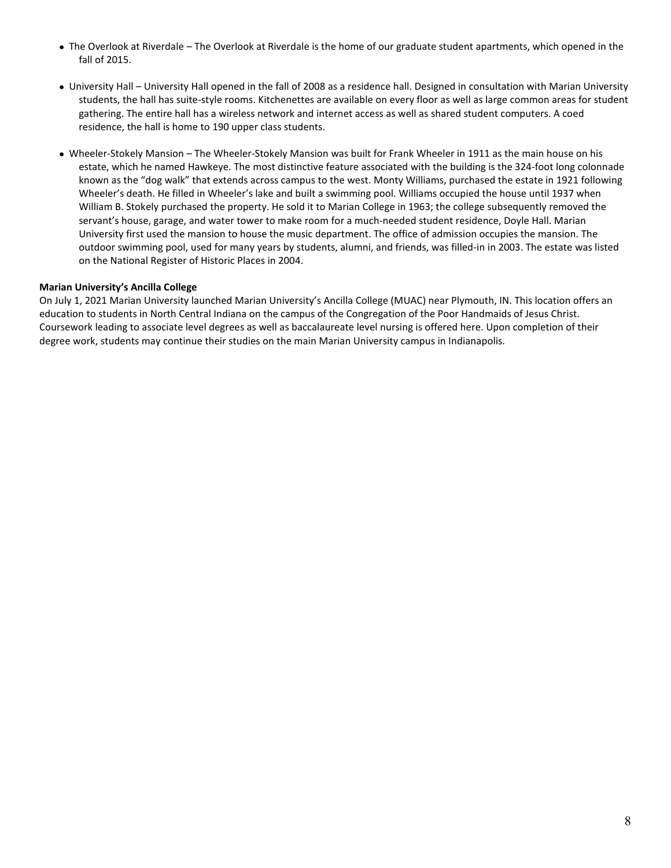- The Overlook at Riverdale The Overlook at Riverdale is the home of our graduate student apartments, which opened in the fall of 2015.
- University Hall University Hall opened in the fall of 2008 as a residence hall. Designed in consultation with Marian University students, the hall has suite-style rooms. Kitchenettes are available on every floor as well as large common areas for student gathering. The entire hall has a wireless network and internet access as well as shared student computers. A coed residence, the hall is home to 190 upper class students.
- Wheeler-Stokely Mansion The Wheeler-Stokely Mansion was built for Frank Wheeler in 1911 as the main house on his estate, which he named Hawkeye. The most distinctive feature associated with the building is the 324-foot long colonnade known as the "dog walk" that extends across campus to the west. Monty Williams, purchased the estate in 1921 following Wheeler's death. He filled in Wheeler's lake and built a swimming pool. Williams occupied the house until 1937 when William B. Stokely purchased the property. He sold it to Marian College in 1963; the college subsequently removed the servant's house, garage, and water tower to make room for a much-needed student residence, Doyle Hall. Marian University first used the mansion to house the music department. The office of admission occupies the mansion. The outdoor swimming pool, used for many years by students, alumni, and friends, was filled-in in 2003. The estate was listed on the National Register of Historic Places in 2004.

### **Marian University's Ancilla College**

On July 1, 2021 Marian University launched Marian University's Ancilla College (MUAC) near Plymouth, IN. This location offers an education to students in North Central Indiana on the campus of the Congregation of the Poor Handmaids of Jesus Christ. Coursework leading to associate level degrees as well as baccalaureate level nursing is offered here. Upon completion of their degree work, students may continue their studies on the main Marian University campus in Indianapolis.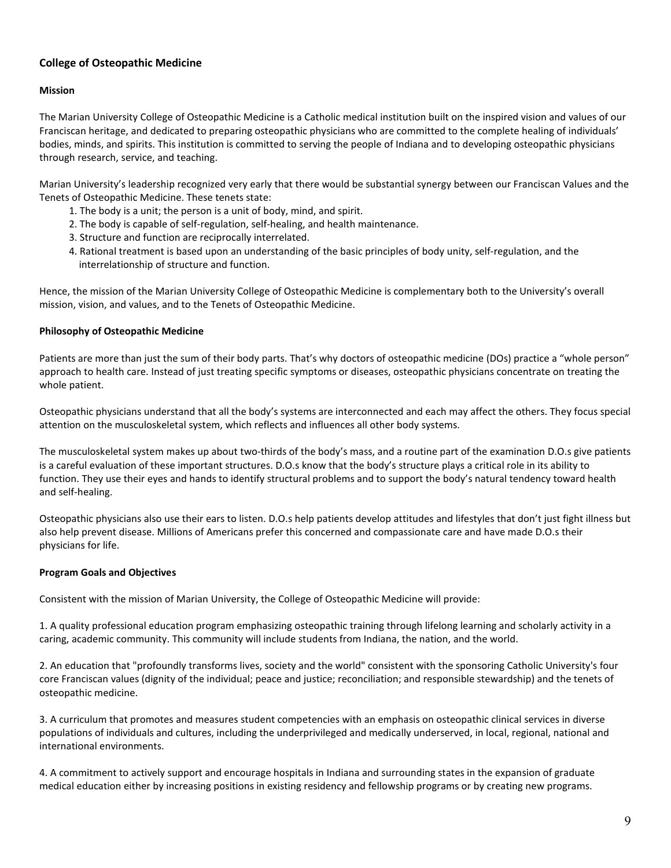# <span id="page-8-0"></span>**College of Osteopathic Medicine**

### <span id="page-8-2"></span>**Mission**

The Marian University College of Osteopathic Medicine is a Catholic medical institution built on the inspired vision and values of our Franciscan heritage, and dedicated to preparing osteopathic physicians who are committed to the complete healing of individuals' bodies, minds, and spirits. This institution is committed to serving the people of Indiana and to developing osteopathic physicians through research, service, and teaching.

Marian University's leadership recognized very early that there would be substantial synergy between our Franciscan Values and the Tenets of Osteopathic Medicine. These tenets state:

- 1. The body is a unit; the person is a unit of body, mind, and spirit.
- 2. The body is capable of self-regulation, self-healing, and health maintenance.
- 3. Structure and function are reciprocally interrelated.
- 4. Rational treatment is based upon an understanding of the basic principles of body unity, self-regulation, and the interrelationship of structure and function.

Hence, the mission of the Marian University College of Osteopathic Medicine is complementary both to the University's overall mission, vision, and values, and to the Tenets of Osteopathic Medicine.

#### <span id="page-8-3"></span>**Philosophy of Osteopathic Medicine**

Patients are more than just the sum of their body parts. That's why doctors of osteopathic medicine (DOs) practice a "whole person" approach to health care. Instead of just treating specific symptoms or diseases, osteopathic physicians concentrate on treating the whole patient.

Osteopathic physicians understand that all the body's systems are interconnected and each may affect the others. They focus special attention on the musculoskeletal system, which reflects and influences all other body systems.

The musculoskeletal system makes up about two-thirds of the body's mass, and a routine part of the examination D.O.s give patients is a careful evaluation of these important structures. D.O.s know that the body's structure plays a critical role in its ability to function. They use their eyes and hands to identify structural problems and to support the body's natural tendency toward health and self-healing.

Osteopathic physicians also use their ears to listen. D.O.s help patients develop attitudes and lifestyles that don't just fight illness but also help prevent disease. Millions of Americans prefer this concerned and compassionate care and have made D.O.s their physicians for life.

### <span id="page-8-1"></span>**Program Goals and Objectives**

Consistent with the mission of Marian University, the College of Osteopathic Medicine will provide:

1. A quality professional education program emphasizing osteopathic training through lifelong learning and scholarly activity in a caring, academic community. This community will include students from Indiana, the nation, and the world.

2. An education that "profoundly transforms lives, society and the world" consistent with the sponsoring Catholic University's four core Franciscan values (dignity of the individual; peace and justice; reconciliation; and responsible stewardship) and the tenets of osteopathic medicine.

3. A curriculum that promotes and measures student competencies with an emphasis on osteopathic clinical services in diverse populations of individuals and cultures, including the underprivileged and medically underserved, in local, regional, national and international environments.

4. A commitment to actively support and encourage hospitals in Indiana and surrounding states in the expansion of graduate medical education either by increasing positions in existing residency and fellowship programs or by creating new programs.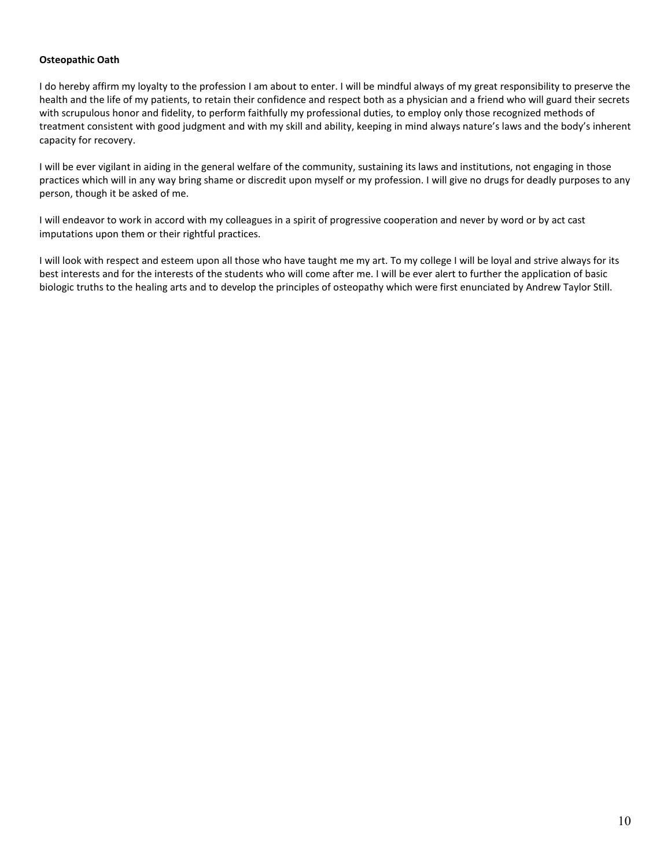### <span id="page-9-0"></span>**Osteopathic Oath**

I do hereby affirm my loyalty to the profession I am about to enter. I will be mindful always of my great responsibility to preserve the health and the life of my patients, to retain their confidence and respect both as a physician and a friend who will guard their secrets with scrupulous honor and fidelity, to perform faithfully my professional duties, to employ only those recognized methods of treatment consistent with good judgment and with my skill and ability, keeping in mind always nature's laws and the body's inherent capacity for recovery.

I will be ever vigilant in aiding in the general welfare of the community, sustaining its laws and institutions, not engaging in those practices which will in any way bring shame or discredit upon myself or my profession. I will give no drugs for deadly purposes to any person, though it be asked of me.

I will endeavor to work in accord with my colleagues in a spirit of progressive cooperation and never by word or by act cast imputations upon them or their rightful practices.

I will look with respect and esteem upon all those who have taught me my art. To my college I will be loyal and strive always for its best interests and for the interests of the students who will come after me. I will be ever alert to further the application of basic biologic truths to the healing arts and to develop the principles of osteopathy which were first enunciated by Andrew Taylor Still.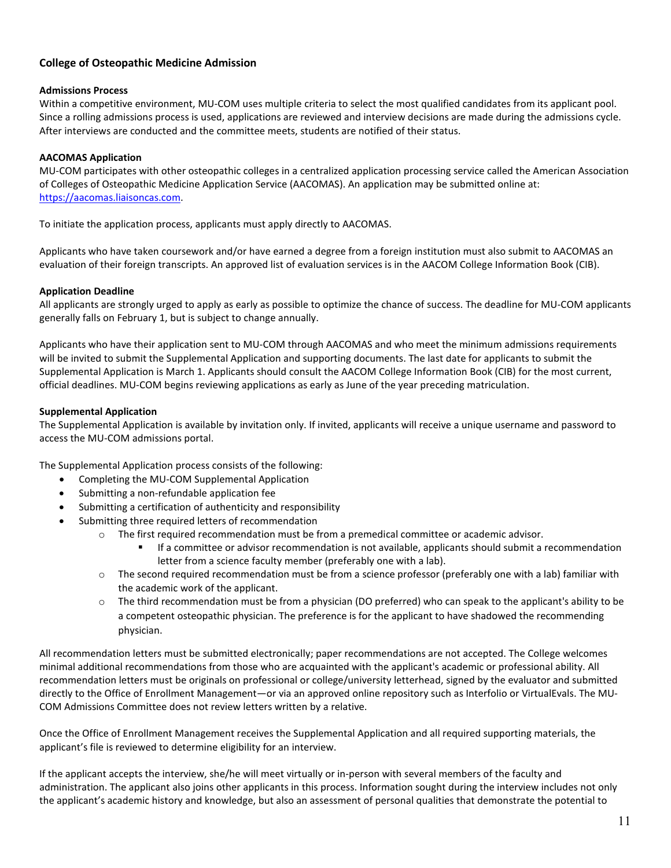# <span id="page-10-0"></span>**College of Osteopathic Medicine Admission**

## **Admissions Process**

Within a competitive environment, MU-COM uses multiple criteria to select the most qualified candidates from its applicant pool. Since a rolling admissions process is used, applications are reviewed and interview decisions are made during the admissions cycle. After interviews are conducted and the committee meets, students are notified of their status.

# <span id="page-10-1"></span>**AACOMAS Application**

MU-COM participates with other osteopathic colleges in a centralized application processing service called the American Association of Colleges of Osteopathic Medicine Application Service (AACOMAS). An application may be submitted online at: [https://aacomas.liaisoncas.com.](https://aacomas.liaisoncas.com/)

To initiate the application process, applicants must apply directly to AACOMAS.

Applicants who have taken coursework and/or have earned a degree from a foreign institution must also submit to AACOMAS an evaluation of their foreign transcripts. An approved list of evaluation services is in the AACOM College Information Book (CIB).

## <span id="page-10-2"></span>**Application Deadline**

All applicants are strongly urged to apply as early as possible to optimize the chance of success. The deadline for MU-COM applicants generally falls on February 1, but is subject to change annually.

Applicants who have their application sent to MU-COM through AACOMAS and who meet the minimum admissions requirements will be invited to submit the Supplemental Application and supporting documents. The last date for applicants to submit the Supplemental Application is March 1. Applicants should consult the AACOM College Information Book (CIB) for the most current, official deadlines. MU-COM begins reviewing applications as early as June of the year preceding matriculation.

## <span id="page-10-3"></span>**Supplemental Application**

The Supplemental Application is available by invitation only. If invited, applicants will receive a unique username and password to access the MU-COM admissions portal.

The Supplemental Application process consists of the following:

- Completing the MU-COM Supplemental Application
- Submitting a non-refundable application fee
- Submitting a certification of authenticity and responsibility
- Submitting three required letters of recommendation
	- o The first required recommendation must be from a premedical committee or academic advisor.
		- If a committee or advisor recommendation is not available, applicants should submit a recommendation letter from a science faculty member (preferably one with a lab).
	- $\circ$  The second required recommendation must be from a science professor (preferably one with a lab) familiar with the academic work of the applicant.
	- $\circ$  The third recommendation must be from a physician (DO preferred) who can speak to the applicant's ability to be a competent osteopathic physician. The preference is for the applicant to have shadowed the recommending physician.

All recommendation letters must be submitted electronically; paper recommendations are not accepted. The College welcomes minimal additional recommendations from those who are acquainted with the applicant's academic or professional ability. All recommendation letters must be originals on professional or college/university letterhead, signed by the evaluator and submitted directly to the Office of Enrollment Management—or via an approved online repository such as Interfolio or VirtualEvals. The MU-COM Admissions Committee does not review letters written by a relative.

Once the Office of Enrollment Management receives the Supplemental Application and all required supporting materials, the applicant's file is reviewed to determine eligibility for an interview.

If the applicant accepts the interview, she/he will meet virtually or in-person with several members of the faculty and administration. The applicant also joins other applicants in this process. Information sought during the interview includes not only the applicant's academic history and knowledge, but also an assessment of personal qualities that demonstrate the potential to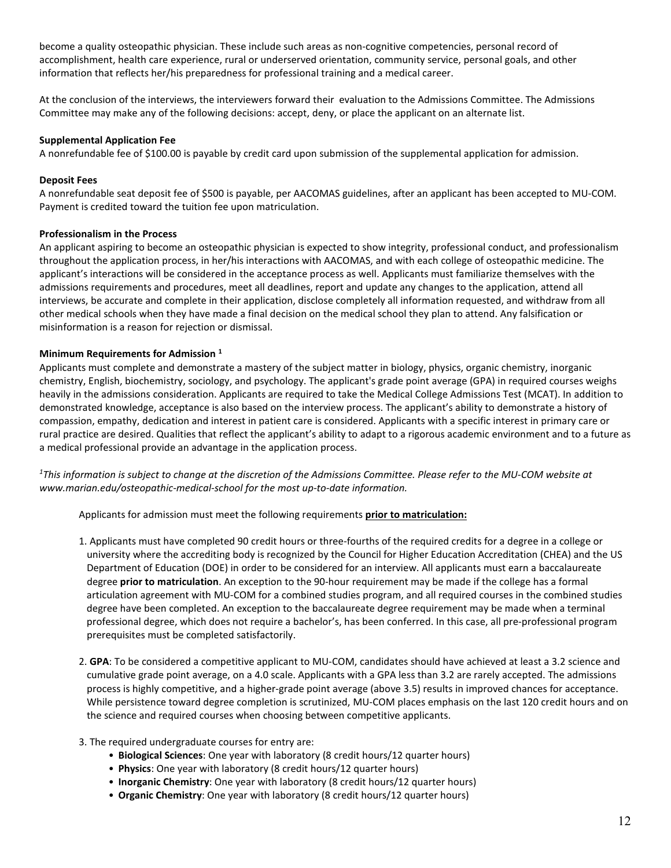become a quality osteopathic physician. These include such areas as non-cognitive competencies, personal record of accomplishment, health care experience, rural or underserved orientation, community service, personal goals, and other information that reflects her/his preparedness for professional training and a medical career.

At the conclusion of the interviews, the interviewers forward their evaluation to the Admissions Committee. The Admissions Committee may make any of the following decisions: accept, deny, or place the applicant on an alternate list.

#### <span id="page-11-3"></span>**Supplemental Application Fee**

A nonrefundable fee of \$100.00 is payable by credit card upon submission of the supplemental application for admission.

#### <span id="page-11-0"></span>**Deposit Fees**

A nonrefundable seat deposit fee of \$500 is payable, per AACOMAS guidelines, after an applicant has been accepted to MU-COM. Payment is credited toward the tuition fee upon matriculation.

#### <span id="page-11-2"></span>**Professionalism in the Process**

An applicant aspiring to become an osteopathic physician is expected to show integrity, professional conduct, and professionalism throughout the application process, in her/his interactions with AACOMAS, and with each college of osteopathic medicine. The applicant's interactions will be considered in the acceptance process as well. Applicants must familiarize themselves with the admissions requirements and procedures, meet all deadlines, report and update any changes to the application, attend all interviews, be accurate and complete in their application, disclose completely all information requested, and withdraw from all other medical schools when they have made a final decision on the medical school they plan to attend. Any falsification or misinformation is a reason for rejection or dismissal.

#### <span id="page-11-1"></span>**Minimum Requirements for Admission 1**

Applicants must complete and demonstrate a mastery of the subject matter in biology, physics, organic chemistry, inorganic chemistry, English, biochemistry, sociology, and psychology. The applicant's grade point average (GPA) in required courses weighs heavily in the admissions consideration. Applicants are required to take the Medical College Admissions Test (MCAT). In addition to demonstrated knowledge, acceptance is also based on the interview process. The applicant's ability to demonstrate a history of compassion, empathy, dedication and interest in patient care is considered. Applicants with a specific interest in primary care or rural practice are desired. Qualities that reflect the applicant's ability to adapt to a rigorous academic environment and to a future as a medical professional provide an advantage in the application process.

*1 This information is subject to change at the discretion of the Admissions Committee. Please refer to the MU-COM website at www.marian.edu/osteopathic-medical-school for the most up-to-date information.* 

Applicants for admission must meet the following requirements **prior to matriculation:**

- 1. Applicants must have completed 90 credit hours or three-fourths of the required credits for a degree in a college or university where the accrediting body is recognized by the Council for Higher Education Accreditation (CHEA) and the US Department of Education (DOE) in order to be considered for an interview. All applicants must earn a baccalaureate degree **prior to matriculation**. An exception to the 90-hour requirement may be made if the college has a formal articulation agreement with MU-COM for a combined studies program, and all required courses in the combined studies degree have been completed. An exception to the baccalaureate degree requirement may be made when a terminal professional degree, which does not require a bachelor's, has been conferred. In this case, all pre-professional program prerequisites must be completed satisfactorily.
- 2. **GPA**: To be considered a competitive applicant to MU-COM, candidates should have achieved at least a 3.2 science and cumulative grade point average, on a 4.0 scale. Applicants with a GPA less than 3.2 are rarely accepted. The admissions process is highly competitive, and a higher-grade point average (above 3.5) results in improved chances for acceptance. While persistence toward degree completion is scrutinized, MU-COM places emphasis on the last 120 credit hours and on the science and required courses when choosing between competitive applicants.
- 3. The required undergraduate courses for entry are:
	- **Biological Sciences**: One year with laboratory (8 credit hours/12 quarter hours)
	- **Physics**: One year with laboratory (8 credit hours/12 quarter hours)
	- **Inorganic Chemistry**: One year with laboratory (8 credit hours/12 quarter hours)
	- **Organic Chemistry**: One year with laboratory (8 credit hours/12 quarter hours)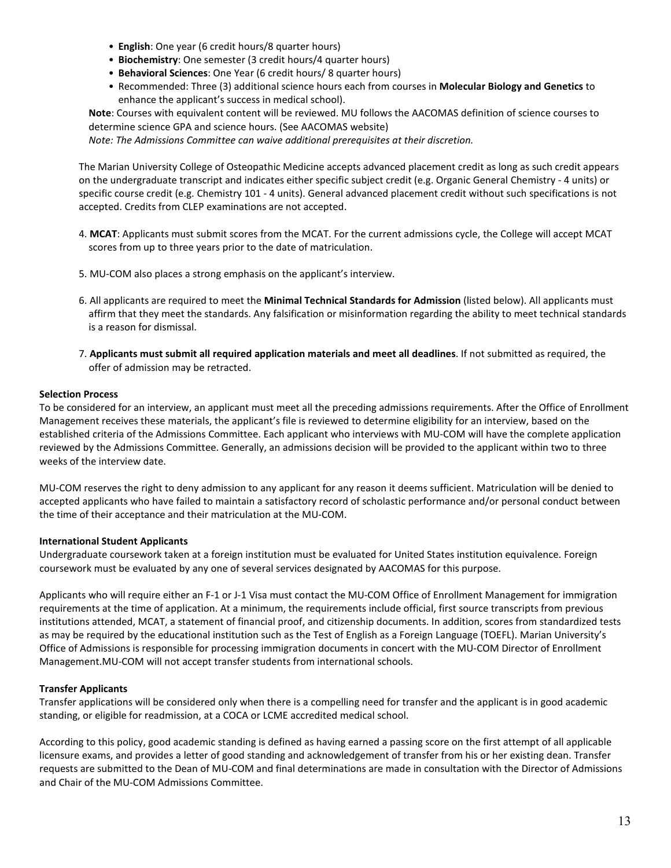- **English**: One year (6 credit hours/8 quarter hours)
- **Biochemistry**: One semester (3 credit hours/4 quarter hours)
- **Behavioral Sciences**: One Year (6 credit hours/ 8 quarter hours)
- Recommended: Three (3) additional science hours each from courses in **Molecular Biology and Genetics** to enhance the applicant's success in medical school).

**Note**: Courses with equivalent content will be reviewed. MU follows the AACOMAS definition of science courses to determine science GPA and science hours. (See AACOMAS website)

*Note: The Admissions Committee can waive additional prerequisites at their discretion.*

The Marian University College of Osteopathic Medicine accepts advanced placement credit as long as such credit appears on the undergraduate transcript and indicates either specific subject credit (e.g. Organic General Chemistry - 4 units) or specific course credit (e.g. Chemistry 101 - 4 units). General advanced placement credit without such specifications is not accepted. Credits from CLEP examinations are not accepted.

- 4. **MCAT**: Applicants must submit scores from the MCAT. For the current admissions cycle, the College will accept MCAT scores from up to three years prior to the date of matriculation.
- 5. MU-COM also places a strong emphasis on the applicant's interview.
- 6. All applicants are required to meet the **Minimal Technical Standards for Admission** (listed below). All applicants must affirm that they meet the standards. Any falsification or misinformation regarding the ability to meet technical standards is a reason for dismissal.
- 7. **Applicants must submit all required application materials and meet all deadlines**. If not submitted as required, the offer of admission may be retracted.

#### <span id="page-12-2"></span>**Selection Process**

To be considered for an interview, an applicant must meet all the preceding admissions requirements. After the Office of Enrollment Management receives these materials, the applicant's file is reviewed to determine eligibility for an interview, based on the established criteria of the Admissions Committee. Each applicant who interviews with MU-COM will have the complete application reviewed by the Admissions Committee. Generally, an admissions decision will be provided to the applicant within two to three weeks of the interview date.

MU-COM reserves the right to deny admission to any applicant for any reason it deems sufficient. Matriculation will be denied to accepted applicants who have failed to maintain a satisfactory record of scholastic performance and/or personal conduct between the time of their acceptance and their matriculation at the MU-COM.

#### <span id="page-12-0"></span>**International Student Applicants**

Undergraduate coursework taken at a foreign institution must be evaluated for United States institution equivalence. Foreign coursework must be evaluated by any one of several services designated by AACOMAS for this purpose.

Applicants who will require either an F-1 or J-1 Visa must contact the MU-COM Office of Enrollment Management for immigration requirements at the time of application. At a minimum, the requirements include official, first source transcripts from previous institutions attended, MCAT, a statement of financial proof, and citizenship documents. In addition, scores from standardized tests as may be required by the educational institution such as the Test of English as a Foreign Language (TOEFL). Marian University's Office of Admissions is responsible for processing immigration documents in concert with the MU-COM Director of Enrollment Management.MU-COM will not accept transfer students from international schools.

### <span id="page-12-3"></span>**Transfer Applicants**

<span id="page-12-1"></span>Transfer applications will be considered only when there is a compelling need for transfer and the applicant is in good academic standing, or eligible for readmission, at a COCA or LCME accredited medical school.

According to this policy, good academic standing is defined as having earned a passing score on the first attempt of all applicable licensure exams, and provides a letter of good standing and acknowledgement of transfer from his or her existing dean. Transfer requests are submitted to the Dean of MU-COM and final determinations are made in consultation with the Director of Admissions and Chair of the MU-COM Admissions Committee.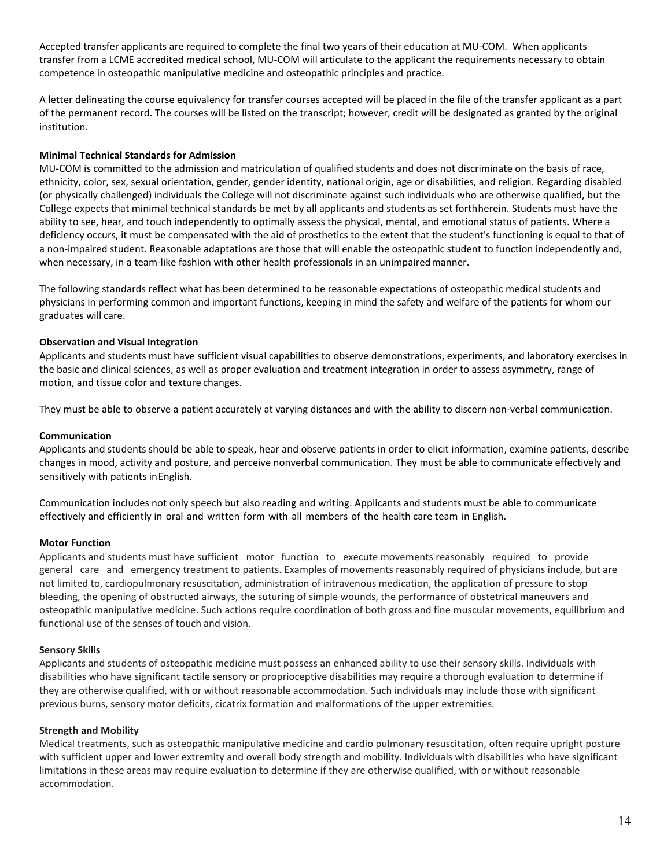Accepted transfer applicants are required to complete the final two years of their education at MU-COM. When applicants transfer from a LCME accredited medical school, MU-COM will articulate to the applicant the requirements necessary to obtain competence in osteopathic manipulative medicine and osteopathic principles and practice.

A letter delineating the course equivalency for transfer courses accepted will be placed in the file of the transfer applicant as a part of the permanent record. The courses will be listed on the transcript; however, credit will be designated as granted by the original institution.

### **Minimal Technical Standards for Admission**

MU-COM is committed to the admission and matriculation of qualified students and does not discriminate on the basis of race, ethnicity, color, sex, sexual orientation, gender, gender identity, national origin, age or disabilities, and religion. Regarding disabled (or physically challenged) individuals the College will not discriminate against such individuals who are otherwise qualified, but the College expects that minimal technical standards be met by all applicants and students as set forthherein. Students must have the ability to see, hear, and touch independently to optimally assess the physical, mental, and emotional status of patients. Where a deficiency occurs, it must be compensated with the aid of prosthetics to the extent that the student's functioning is equal to that of a non-impaired student. Reasonable adaptations are those that will enable the osteopathic student to function independently and, when necessary, in a team-like fashion with other health professionals in an unimpairedmanner.

The following standards reflect what has been determined to be reasonable expectations of osteopathic medical students and physicians in performing common and important functions, keeping in mind the safety and welfare of the patients for whom our graduates will care.

## **Observation and Visual Integration**

Applicants and students must have sufficient visual capabilities to observe demonstrations, experiments, and laboratory exercises in the basic and clinical sciences, as well as proper evaluation and treatment integration in order to assess asymmetry, range of motion, and tissue color and texture changes.

They must be able to observe a patient accurately at varying distances and with the ability to discern non-verbal communication.

### **Communication**

Applicants and students should be able to speak, hear and observe patients in order to elicit information, examine patients, describe changes in mood, activity and posture, and perceive nonverbal communication. They must be able to communicate effectively and sensitively with patients inEnglish.

Communication includes not only speech but also reading and writing. Applicants and students must be able to communicate effectively and efficiently in oral and written form with all members of the health care team in English.

### **Motor Function**

Applicants and students must have sufficient motor function to execute movements reasonably required to provide general care and emergency treatment to patients. Examples of movements reasonably required of physicians include, but are not limited to, cardiopulmonary resuscitation, administration of intravenous medication, the application of pressure to stop bleeding, the opening of obstructed airways, the suturing of simple wounds, the performance of obstetrical maneuvers and osteopathic manipulative medicine. Such actions require coordination of both gross and fine muscular movements, equilibrium and functional use of the senses of touch and vision.

### **Sensory Skills**

Applicants and students of osteopathic medicine must possess an enhanced ability to use their sensory skills. Individuals with disabilities who have significant tactile sensory or proprioceptive disabilities may require a thorough evaluation to determine if they are otherwise qualified, with or without reasonable accommodation. Such individuals may include those with significant previous burns, sensory motor deficits, cicatrix formation and malformations of the upper extremities.

### **Strength and Mobility**

Medical treatments, such as osteopathic manipulative medicine and cardio pulmonary resuscitation, often require upright posture with sufficient upper and lower extremity and overall body strength and mobility. Individuals with disabilities who have significant limitations in these areas may require evaluation to determine if they are otherwise qualified, with or without reasonable accommodation.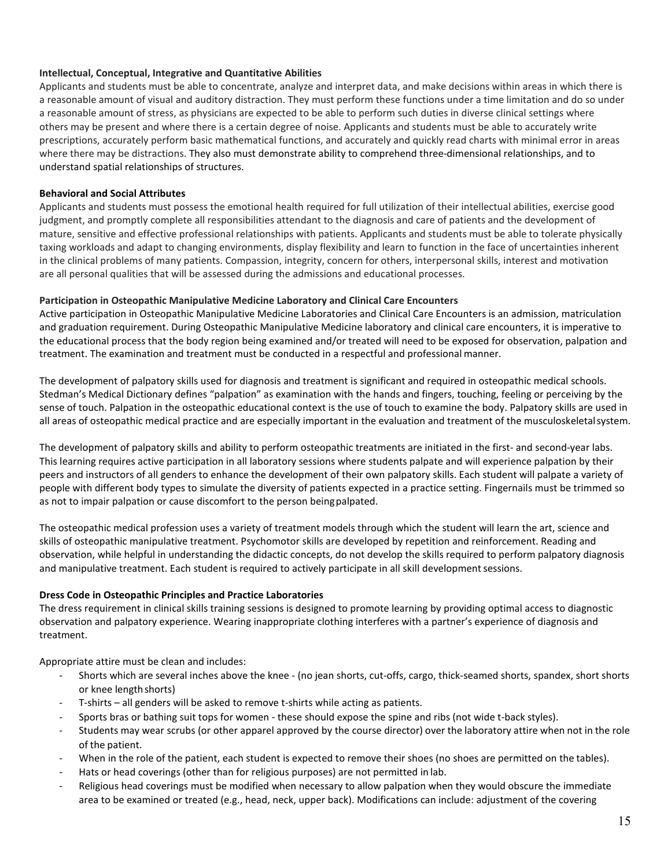## **Intellectual, Conceptual, Integrative and Quantitative Abilities**

Applicants and students must be able to concentrate, analyze and interpret data, and make decisions within areas in which there is a reasonable amount of visual and auditory distraction. They must perform these functions under a time limitation and do so under a reasonable amount of stress, as physicians are expected to be able to perform such duties in diverse clinical settings where others may be present and where there is a certain degree of noise. Applicants and students must be able to accurately write prescriptions, accurately perform basic mathematical functions, and accurately and quickly read charts with minimal error in areas where there may be distractions. They also must demonstrate ability to comprehend three-dimensional relationships, and to understand spatial relationships of structures.

## **Behavioral and Social Attributes**

Applicants and students must possess the emotional health required for full utilization of their intellectual abilities, exercise good judgment, and promptly complete all responsibilities attendant to the diagnosis and care of patients and the development of mature, sensitive and effective professional relationships with patients. Applicants and students must be able to tolerate physically taxing workloads and adapt to changing environments, display flexibility and learn to function in the face of uncertainties inherent in the clinical problems of many patients. Compassion, integrity, concern for others, interpersonal skills, interest and motivation are all personal qualities that will be assessed during the admissions and educational processes.

## <span id="page-14-1"></span>**Participation in Osteopathic Manipulative Medicine Laboratory and Clinical Care Encounters**

Active participation in Osteopathic Manipulative Medicine Laboratories and Clinical Care Encounters is an admission, matriculation and graduation requirement. During Osteopathic Manipulative Medicine laboratory and clinical care encounters, it is imperative to the educational process that the body region being examined and/or treated will need to be exposed for observation, palpation and treatment. The examination and treatment must be conducted in a respectful and professional manner.

The development of palpatory skills used for diagnosis and treatment is significant and required in osteopathic medical schools. Stedman's Medical Dictionary defines "palpation" as examination with the hands and fingers, touching, feeling or perceiving by the sense of touch. Palpation in the osteopathic educational context is the use of touch to examine the body. Palpatory skills are used in all areas of osteopathic medical practice and are especially important in the evaluation and treatment of the musculoskeletalsystem.

The development of palpatory skills and ability to perform osteopathic treatments are initiated in the first- and second-year labs. This learning requires active participation in all laboratory sessions where students palpate and will experience palpation by their peers and instructors of all genders to enhance the development of their own palpatory skills. Each student will palpate a variety of people with different body types to simulate the diversity of patients expected in a practice setting. Fingernails must be trimmed so as not to impair palpation or cause discomfort to the person beingpalpated.

The osteopathic medical profession uses a variety of treatment models through which the student will learn the art, science and skills of osteopathic manipulative treatment. Psychomotor skills are developed by repetition and reinforcement. Reading and observation, while helpful in understanding the didactic concepts, do not develop the skills required to perform palpatory diagnosis and manipulative treatment. Each student is required to actively participate in all skill development sessions.

# <span id="page-14-0"></span>**Dress Code in Osteopathic Principles and Practice Laboratories**

The dress requirement in clinical skills training sessions is designed to promote learning by providing optimal access to diagnostic observation and palpatory experience. Wearing inappropriate clothing interferes with a partner's experience of diagnosis and treatment.

Appropriate attire must be clean and includes:

- Shorts which are several inches above the knee (no jean shorts, cut-offs, cargo, thick-seamed shorts, spandex, short shorts or knee lengthshorts)
- T-shirts all genders will be asked to remove t-shirts while acting as patients.
- Sports bras or bathing suit tops for women these should expose the spine and ribs (not wide t-back styles).
- Students may wear scrubs (or other apparel approved by the course director) over the laboratory attire when not in the role of the patient.
- When in the role of the patient, each student is expected to remove their shoes (no shoes are permitted on the tables).
- Hats or head coverings (other than for religious purposes) are not permitted in lab.
- Religious head coverings must be modified when necessary to allow palpation when they would obscure the immediate area to be examined or treated (e.g., head, neck, upper back). Modifications can include: adjustment of the covering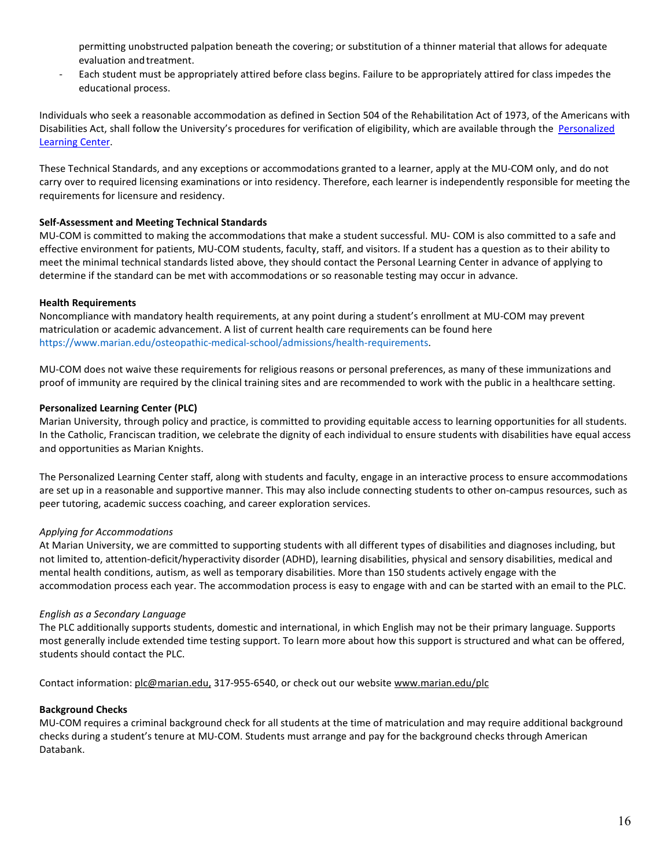permitting unobstructed palpation beneath the covering; or substitution of a thinner material that allows for adequate evaluation and treatment.

Each student must be appropriately attired before class begins. Failure to be appropriately attired for class impedes the educational process.

Individuals who seek a reasonable accommodation as defined in Section 504 of the Rehabilitation Act of 1973, of the Americans with Disabilities Act, shall follow the University's procedures for verification of eligibility, which are available through the [Personalized](https://www.marian.edu/campus-life/personalized-learning-center)  [Learning Center.](https://www.marian.edu/campus-life/personalized-learning-center)

These Technical Standards, and any exceptions or accommodations granted to a learner, apply at the MU-COM only, and do not carry over to required licensing examinations or into residency. Therefore, each learner is independently responsible for meeting the requirements for licensure and residency.

### <span id="page-15-1"></span>**Self-Assessment and Meeting Technical Standards**

MU-COM is committed to making the accommodations that make a student successful. MU- COM is also committed to a safe and effective environment for patients, MU-COM students, faculty, staff, and visitors. If a student has a question as to their ability to meet the minimal technical standards listed above, they should contact the Personal Learning Center in advance of applying to determine if the standard can be met with accommodations or so reasonable testing may occur in advance.

## <span id="page-15-0"></span>**Health Requirements**

Noncompliance with mandatory health requirements, at any point during a student's enrollment at MU-COM may prevent matriculation or academic advancement. A list of current health care requirements can be found here https://www.marian.edu/osteopathic-medical-school/admissions/health-requirements.

MU-COM does not waive these requirements for religious reasons or personal preferences, as many of these immunizations and proof of immunity are required by the clinical training sites and are recommended to work with the public in a healthcare setting.

## **Personalized Learning Center (PLC)**

Marian University, through policy and practice, is committed to providing equitable access to learning opportunities for all students. In the Catholic, Franciscan tradition, we celebrate the dignity of each individual to ensure students with disabilities have equal access and opportunities as Marian Knights.

The Personalized Learning Center staff, along with students and faculty, engage in an interactive process to ensure accommodations are set up in a reasonable and supportive manner. This may also include connecting students to other on-campus resources, such as peer tutoring, academic success coaching, and career exploration services.

### *Applying for Accommodations*

At Marian University, we are committed to supporting students with all different types of disabilities and diagnoses including, but not limited to, attention-deficit/hyperactivity disorder (ADHD), learning disabilities, physical and sensory disabilities, medical and mental health conditions, autism, as well as temporary disabilities. More than 150 students actively engage with the accommodation process each year. The accommodation process is easy to engage with and can be started with an email to the PLC.

### *English as a Secondary Language*

The PLC additionally supports students, domestic and international, in which English may not be their primary language. Supports most generally include extended time testing support. To learn more about how this support is structured and what can be offered, students should contact the PLC.

Contact information: [plc@marian.edu,](mailto:plc@marian.edu) 317-955-6540, or check out our website [www.marian.edu/plc](http://www.marian.edu/plc)

### <span id="page-15-2"></span>**Background Checks**

MU-COM requires a criminal background check for all students at the time of matriculation and may require additional background checks during a student's tenure at MU-COM. Students must arrange and pay for the background checks through American Databank.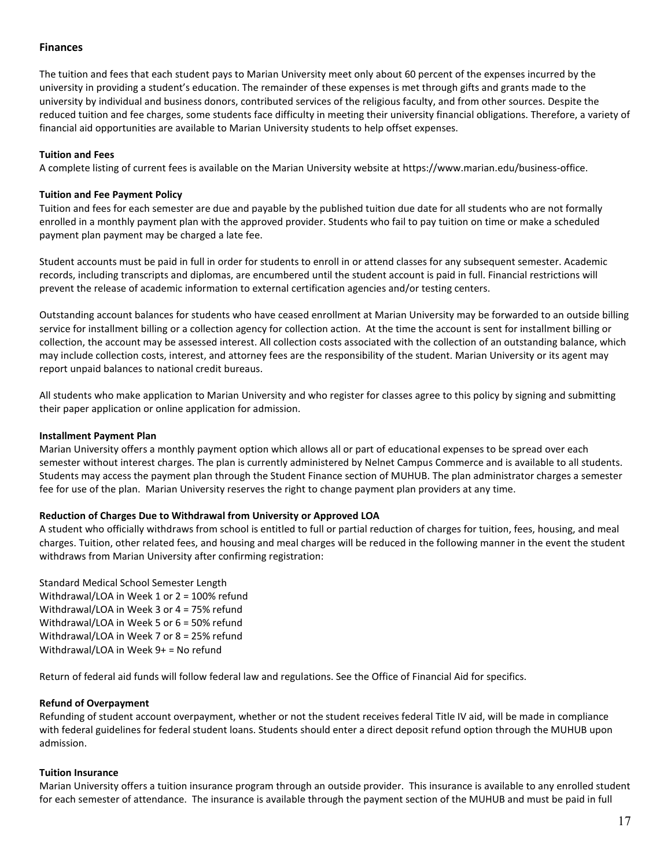## <span id="page-16-0"></span>**Finances**

The tuition and fees that each student pays to Marian University meet only about 60 percent of the expenses incurred by the university in providing a student's education. The remainder of these expenses is met through gifts and grants made to the university by individual and business donors, contributed services of the religious faculty, and from other sources. Despite the reduced tuition and fee charges, some students face difficulty in meeting their university financial obligations. Therefore, a variety of financial aid opportunities are available to Marian University students to help offset expenses.

### <span id="page-16-5"></span>**Tuition and Fees**

A complete listing of current fees is available on the Marian University website at https://www.marian.edu/business-office.

#### <span id="page-16-4"></span>**Tuition and Fee Payment Policy**

Tuition and fees for each semester are due and payable by the published tuition due date for all students who are not formally enrolled in a monthly payment plan with the approved provider. Students who fail to pay tuition on time or make a scheduled payment plan payment may be charged a late fee.

Student accounts must be paid in full in order for students to enroll in or attend classes for any subsequent semester. Academic records, including transcripts and diplomas, are encumbered until the student account is paid in full. Financial restrictions will prevent the release of academic information to external certification agencies and/or testing centers.

Outstanding account balances for students who have ceased enrollment at Marian University may be forwarded to an outside billing service for installment billing or a collection agency for collection action. At the time the account is sent for installment billing or collection, the account may be assessed interest. All collection costs associated with the collection of an outstanding balance, which may include collection costs, interest, and attorney fees are the responsibility of the student. Marian University or its agent may report unpaid balances to national credit bureaus.

All students who make application to Marian University and who register for classes agree to this policy by signing and submitting their paper application or online application for admission.

#### <span id="page-16-1"></span>**Installment Payment Plan**

Marian University offers a monthly payment option which allows all or part of educational expenses to be spread over each semester without interest charges. The plan is currently administered by Nelnet Campus Commerce and is available to all students. Students may access the payment plan through the Student Finance section of MUHUB. The plan administrator charges a semester fee for use of the plan. Marian University reserves the right to change payment plan providers at any time.

### <span id="page-16-2"></span>**Reduction of Charges Due to Withdrawal from University or Approved LOA**

A student who officially withdraws from school is entitled to full or partial reduction of charges for tuition, fees, housing, and meal charges. Tuition, other related fees, and housing and meal charges will be reduced in the following manner in the event the student withdraws from Marian University after confirming registration:

Standard Medical School Semester Length Withdrawal/LOA in Week 1 or 2 = 100% refund Withdrawal/LOA in Week 3 or 4 = 75% refund Withdrawal/LOA in Week 5 or 6 = 50% refund Withdrawal/LOA in Week 7 or 8 = 25% refund Withdrawal/LOA in Week 9+ = No refund

Return of federal aid funds will follow federal law and regulations. See the Office of Financial Aid for specifics.

### <span id="page-16-3"></span>**Refund of Overpayment**

Refunding of student account overpayment, whether or not the student receives federal Title IV aid, will be made in compliance with federal guidelines for federal student loans. Students should enter a direct deposit refund option through the MUHUB upon admission.

### **Tuition Insurance**

Marian University offers a tuition insurance program through an outside provider. This insurance is available to any enrolled student for each semester of attendance. The insurance is available through the payment section of the MUHUB and must be paid in full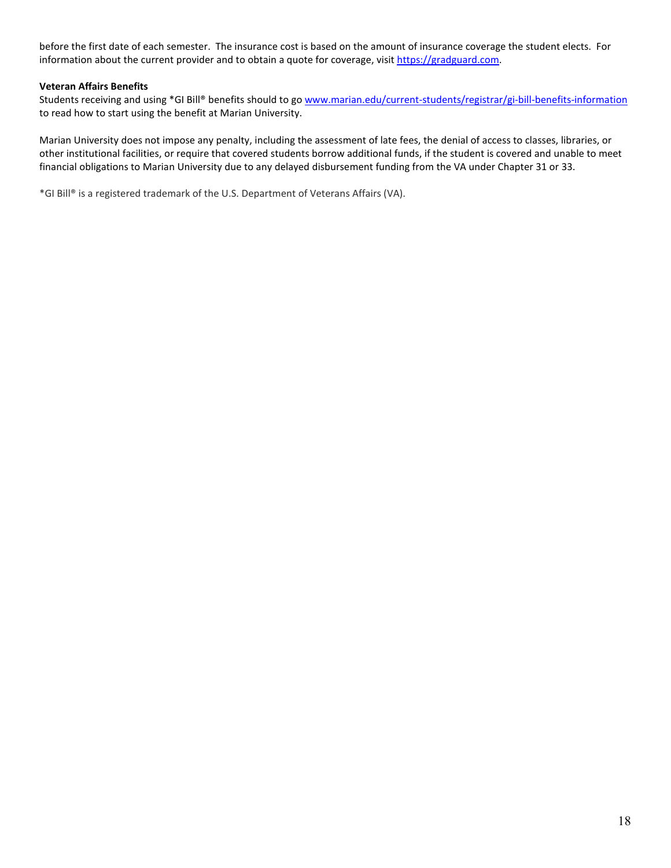before the first date of each semester. The insurance cost is based on the amount of insurance coverage the student elects. For information about the current provider and to obtain a quote for coverage, visi[t https://gradguard.com.](https://gradguard.com/)

## **Veteran Affairs Benefits**

Students receiving and using \*GI Bill® benefits should to go [www.marian.edu/current-students/registrar/gi-bill-benefits-information](http://www.marian.edu/current-students/registrar/gi-bill-benefits-information) to read how to start using the benefit at Marian University.

Marian University does not impose any penalty, including the assessment of late fees, the denial of access to classes, libraries, or other institutional facilities, or require that covered students borrow additional funds, if the student is covered and unable to meet financial obligations to Marian University due to any delayed disbursement funding from the VA under Chapter 31 or 33.

\*GI Bill® is a registered trademark of the U.S. Department of Veterans Affairs (VA).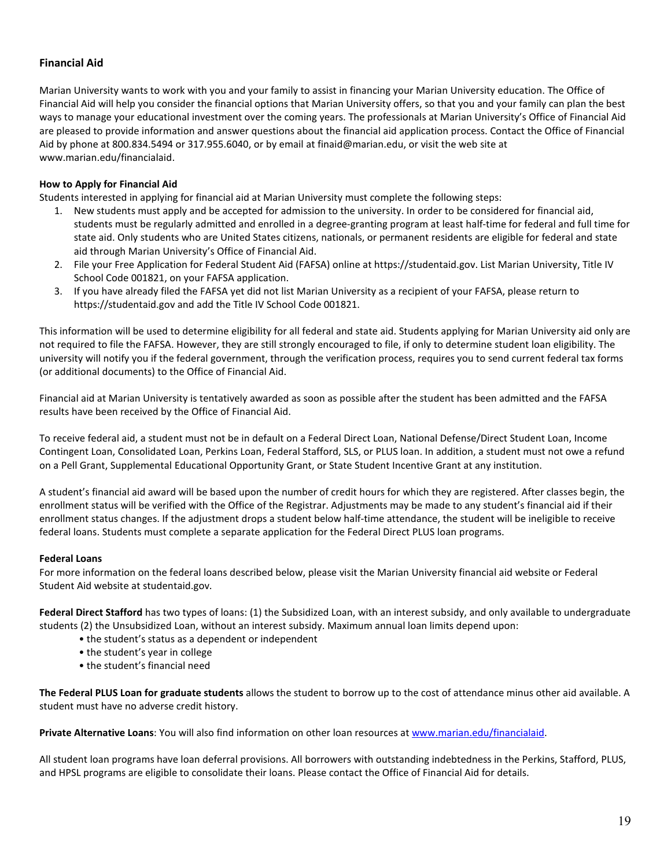# <span id="page-18-0"></span>**Financial Aid**

Marian University wants to work with you and your family to assist in financing your Marian University education. The Office of Financial Aid will help you consider the financial options that Marian University offers, so that you and your family can plan the best ways to manage your educational investment over the coming years. The professionals at Marian University's Office of Financial Aid are pleased to provide information and answer questions about the financial aid application process. Contact the Office of Financial Aid by phone at 800.834.5494 or 317.955.6040, or by email at finaid@marian.edu, or visit the web site at www.marian.edu/financialaid.

# **How to Apply for Financial Aid**

Students interested in applying for financial aid at Marian University must complete the following steps:

- 1. New students must apply and be accepted for admission to the university. In order to be considered for financial aid, students must be regularly admitted and enrolled in a degree-granting program at least half-time for federal and full time for state aid. Only students who are United States citizens, nationals, or permanent residents are eligible for federal and state aid through Marian University's Office of Financial Aid.
- 2. File your Free Application for Federal Student Aid (FAFSA) online at https://studentaid.gov. List Marian University, Title IV School Code 001821, on your FAFSA application.
- 3. If you have already filed the FAFSA yet did not list Marian University as a recipient of your FAFSA, please return to https://studentaid.gov and add the Title IV School Code 001821.

This information will be used to determine eligibility for all federal and state aid. Students applying for Marian University aid only are not required to file the FAFSA. However, they are still strongly encouraged to file, if only to determine student loan eligibility. The university will notify you if the federal government, through the verification process, requires you to send current federal tax forms (or additional documents) to the Office of Financial Aid.

Financial aid at Marian University is tentatively awarded as soon as possible after the student has been admitted and the FAFSA results have been received by the Office of Financial Aid.

To receive federal aid, a student must not be in default on a Federal Direct Loan, National Defense/Direct Student Loan, Income Contingent Loan, Consolidated Loan, Perkins Loan, Federal Stafford, SLS, or PLUS loan. In addition, a student must not owe a refund on a Pell Grant, Supplemental Educational Opportunity Grant, or State Student Incentive Grant at any institution.

A student's financial aid award will be based upon the number of credit hours for which they are registered. After classes begin, the enrollment status will be verified with the Office of the Registrar. Adjustments may be made to any student's financial aid if their enrollment status changes. If the adjustment drops a student below half-time attendance, the student will be ineligible to receive federal loans. Students must complete a separate application for the Federal Direct PLUS loan programs.

### <span id="page-18-1"></span>**Federal Loans**

For more information on the federal loans described below, please visit the Marian University financial aid website or Federal Student Aid website at studentaid.gov.

**Federal Direct Stafford** has two types of loans: (1) the Subsidized Loan, with an interest subsidy, and only available to undergraduate students (2) the Unsubsidized Loan, without an interest subsidy. Maximum annual loan limits depend upon:

- the student's status as a dependent or independent
- the student's year in college
- the student's financial need

**The Federal PLUS Loan for graduate students** allows the student to borrow up to the cost of attendance minus other aid available. A student must have no adverse credit history.

**Private Alternative Loans**: You will also find information on other loan resources at [www.marian.edu/financialaid.](http://www.marian.edu/financialaid)

All student loan programs have loan deferral provisions. All borrowers with outstanding indebtedness in the Perkins, Stafford, PLUS, and HPSL programs are eligible to consolidate their loans. Please contact the Office of Financial Aid for details.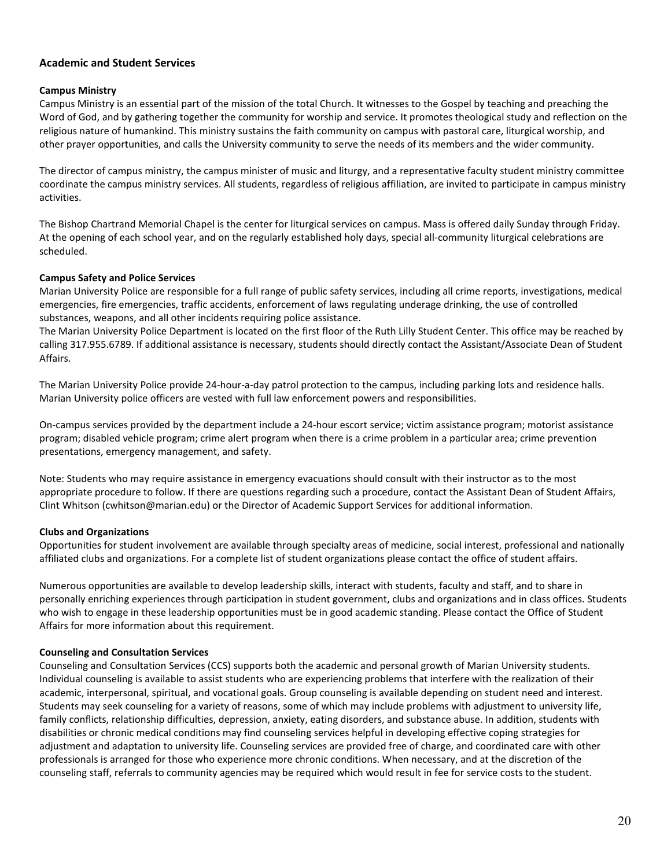# <span id="page-19-0"></span>**Academic and Student Services**

#### <span id="page-19-1"></span>**Campus Ministry**

Campus Ministry is an essential part of the mission of the total Church. It witnesses to the Gospel by teaching and preaching the Word of God, and by gathering together the community for worship and service. It promotes theological study and reflection on the religious nature of humankind. This ministry sustains the faith community on campus with pastoral care, liturgical worship, and other prayer opportunities, and calls the University community to serve the needs of its members and the wider community.

The director of campus ministry, the campus minister of music and liturgy, and a representative faculty student ministry committee coordinate the campus ministry services. All students, regardless of religious affiliation, are invited to participate in campus ministry activities.

The Bishop Chartrand Memorial Chapel is the center for liturgical services on campus. Mass is offered daily Sunday through Friday. At the opening of each school year, and on the regularly established holy days, special all-community liturgical celebrations are scheduled.

#### <span id="page-19-2"></span>**Campus Safety and Police Services**

Marian University Police are responsible for a full range of public safety services, including all crime reports, investigations, medical emergencies, fire emergencies, traffic accidents, enforcement of laws regulating underage drinking, the use of controlled substances, weapons, and all other incidents requiring police assistance.

The Marian University Police Department is located on the first floor of the Ruth Lilly Student Center. This office may be reached by calling 317.955.6789. If additional assistance is necessary, students should directly contact the Assistant/Associate Dean of Student Affairs.

The Marian University Police provide 24-hour-a-day patrol protection to the campus, including parking lots and residence halls. Marian University police officers are vested with full law enforcement powers and responsibilities.

On-campus services provided by the department include a 24-hour escort service; victim assistance program; motorist assistance program; disabled vehicle program; crime alert program when there is a crime problem in a particular area; crime prevention presentations, emergency management, and safety.

Note: Students who may require assistance in emergency evacuations should consult with their instructor as to the most appropriate procedure to follow. If there are questions regarding such a procedure, contact the Assistant Dean of Student Affairs, Clint Whitson (cwhitson@marian.edu) or the Director of Academic Support Services for additional information.

#### <span id="page-19-3"></span>**Clubs and Organizations**

Opportunities for student involvement are available through specialty areas of medicine, social interest, professional and nationally affiliated clubs and organizations. For a complete list of student organizations please contact the office of student affairs.

Numerous opportunities are available to develop leadership skills, interact with students, faculty and staff, and to share in personally enriching experiences through participation in student government, clubs and organizations and in class offices. Students who wish to engage in these leadership opportunities must be in good academic standing. Please contact the Office of Student Affairs for more information about this requirement.

#### <span id="page-19-4"></span>**Counseling and Consultation Services**

Counseling and Consultation Services (CCS) supports both the academic and personal growth of Marian University students. Individual counseling is available to assist students who are experiencing problems that interfere with the realization of their academic, interpersonal, spiritual, and vocational goals. Group counseling is available depending on student need and interest. Students may seek counseling for a variety of reasons, some of which may include problems with adjustment to university life, family conflicts, relationship difficulties, depression, anxiety, eating disorders, and substance abuse. In addition, students with disabilities or chronic medical conditions may find counseling services helpful in developing effective coping strategies for adjustment and adaptation to university life. Counseling services are provided free of charge, and coordinated care with other professionals is arranged for those who experience more chronic conditions. When necessary, and at the discretion of the counseling staff, referrals to community agencies may be required which would result in fee for service costs to the student.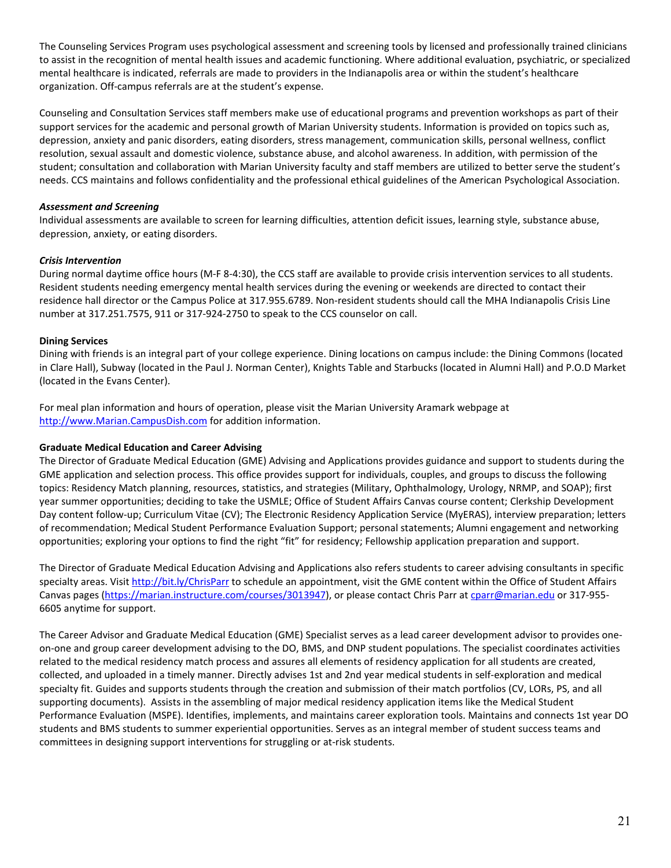The Counseling Services Program uses psychological assessment and screening tools by licensed and professionally trained clinicians to assist in the recognition of mental health issues and academic functioning. Where additional evaluation, psychiatric, or specialized mental healthcare is indicated, referrals are made to providers in the Indianapolis area or within the student's healthcare organization. Off-campus referrals are at the student's expense.

Counseling and Consultation Services staff members make use of educational programs and prevention workshops as part of their support services for the academic and personal growth of Marian University students. Information is provided on topics such as, depression, anxiety and panic disorders, eating disorders, stress management, communication skills, personal wellness, conflict resolution, sexual assault and domestic violence, substance abuse, and alcohol awareness. In addition, with permission of the student; consultation and collaboration with Marian University faculty and staff members are utilized to better serve the student's needs. CCS maintains and follows confidentiality and the professional ethical guidelines of the American Psychological Association.

## *Assessment and Screening*

Individual assessments are available to screen for learning difficulties, attention deficit issues, learning style, substance abuse, depression, anxiety, or eating disorders.

## *Crisis Intervention*

During normal daytime office hours (M-F 8-4:30), the CCS staff are available to provide crisis intervention services to all students. Resident students needing emergency mental health services during the evening or weekends are directed to contact their residence hall director or the Campus Police at 317.955.6789. Non-resident students should call the MHA Indianapolis Crisis Line number at 317.251.7575, 911 or 317-924-2750 to speak to the CCS counselor on call.

## <span id="page-20-0"></span>**Dining Services**

Dining with friends is an integral part of your college experience. Dining locations on campus include: the Dining Commons (located in Clare Hall), Subway (located in the Paul J. Norman Center), Knights Table and Starbucks (located in Alumni Hall) and P.O.D Market (located in the Evans Center).

For meal plan information and hours of operation, please visit the Marian University Aramark webpage at [http://www.Marian.CampusDish.com](http://www.marian.campusdish.com/) for addition information.

### <span id="page-20-1"></span>**Graduate Medical Education and Career Advising**

The Director of Graduate Medical Education (GME) Advising and Applications provides guidance and support to students during the GME application and selection process. This office provides support for individuals, couples, and groups to discuss the following topics: Residency Match planning, resources, statistics, and strategies (Military, Ophthalmology, Urology, NRMP, and SOAP); first year summer opportunities; deciding to take the USMLE; Office of Student Affairs Canvas course content; Clerkship Development Day content follow-up; Curriculum Vitae (CV); The Electronic Residency Application Service (MyERAS), interview preparation; letters of recommendation; Medical Student Performance Evaluation Support; personal statements; Alumni engagement and networking opportunities; exploring your options to find the right "fit" for residency; Fellowship application preparation and support.

The Director of Graduate Medical Education Advising and Applications also refers students to career advising consultants in specific specialty areas. Visi[t http://bit.ly/ChrisParr](http://bit.ly/ChrisParr) to schedule an appointment, visit the GME content within the Office of Student Affairs Canvas pages [\(https://marian.instructure.com/courses/3013947\)](https://marian.instructure.com/courses/3013947), or please contact Chris Parr a[t cparr@marian.edu](mailto:cparr@marian.edu) or 317-955-6605 anytime for support.

The Career Advisor and Graduate Medical Education (GME) Specialist serves as a lead career development advisor to provides oneon-one and group career development advising to the DO, BMS, and DNP student populations. The specialist coordinates activities related to the medical residency match process and assures all elements of residency application for all students are created, collected, and uploaded in a timely manner. Directly advises 1st and 2nd year medical students in self-exploration and medical specialty fit. Guides and supports students through the creation and submission of their match portfolios (CV, LORs, PS, and all supporting documents). Assists in the assembling of major medical residency application items like the Medical Student Performance Evaluation (MSPE). Identifies, implements, and maintains career exploration tools. Maintains and connects 1st year DO students and BMS students to summer experiential opportunities. Serves as an integral member of student success teams and committees in designing support interventions for struggling or at-risk students.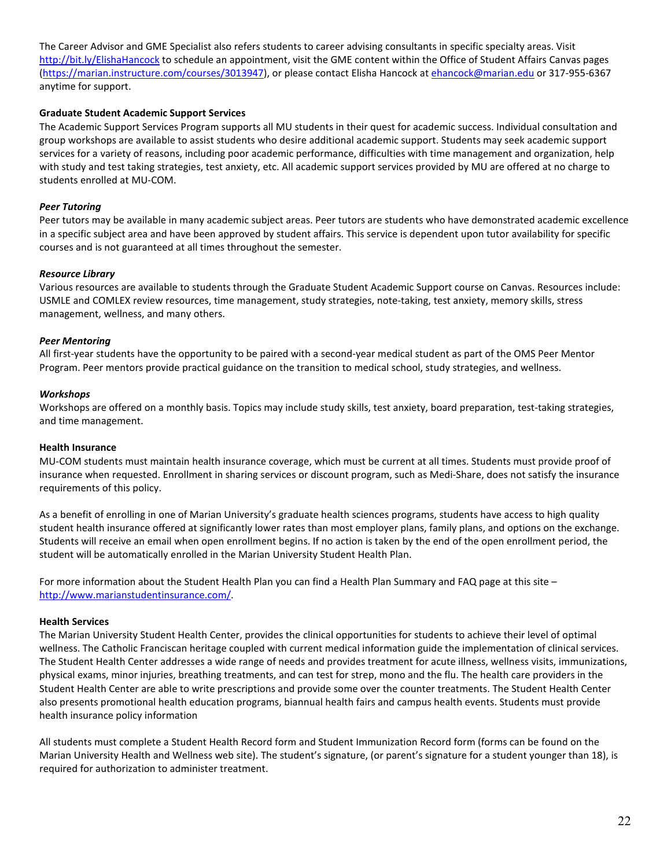The Career Advisor and GME Specialist also refers students to career advising consultants in specific specialty areas. Visit <http://bit.ly/ElishaHancock> to schedule an appointment, visit the GME content within the Office of Student Affairs Canvas pages [\(https://marian.instructure.com/courses/3013947\)](https://marian.instructure.com/courses/3013947), or please contact Elisha Hancock a[t ehancock@marian.edu](mailto:ehancock@marian.edu) or 317-955-6367 anytime for support.

### <span id="page-21-0"></span>**Graduate Student Academic Support Services**

The Academic Support Services Program supports all MU students in their quest for academic success. Individual consultation and group workshops are available to assist students who desire additional academic support. Students may seek academic support services for a variety of reasons, including poor academic performance, difficulties with time management and organization, help with study and test taking strategies, test anxiety, etc. All academic support services provided by MU are offered at no charge to students enrolled at MU-COM.

## *Peer Tutoring*

Peer tutors may be available in many academic subject areas. Peer tutors are students who have demonstrated academic excellence in a specific subject area and have been approved by student affairs. This service is dependent upon tutor availability for specific courses and is not guaranteed at all times throughout the semester.

## *Resource Library*

Various resources are available to students through the Graduate Student Academic Support course on Canvas. Resources include: USMLE and COMLEX review resources, time management, study strategies, note-taking, test anxiety, memory skills, stress management, wellness, and many others.

### *Peer Mentoring*

All first-year students have the opportunity to be paired with a second-year medical student as part of the OMS Peer Mentor Program. Peer mentors provide practical guidance on the transition to medical school, study strategies, and wellness.

### *Workshops*

Workshops are offered on a monthly basis. Topics may include study skills, test anxiety, board preparation, test-taking strategies, and time management.

### <span id="page-21-1"></span>**Health Insurance**

MU-COM students must maintain health insurance coverage, which must be current at all times. Students must provide proof of insurance when requested. Enrollment in sharing services or discount program, such as Medi-Share, does not satisfy the insurance requirements of this policy.

As a benefit of enrolling in one of Marian University's graduate health sciences programs, students have access to high quality student health insurance offered at significantly lower rates than most employer plans, family plans, and options on the exchange. Students will receive an email when open enrollment begins. If no action is taken by the end of the open enrollment period, the student will be automatically enrolled in the Marian University Student Health Plan.

For more information about the Student Health Plan you can find a Health Plan Summary and FAQ page at this site – [http://www.marianstudentinsurance.com/.](http://www.marianstudentinsurance.com/)

### <span id="page-21-2"></span>**Health Services**

The Marian University Student Health Center, provides the clinical opportunities for students to achieve their level of optimal wellness. The Catholic Franciscan heritage coupled with current medical information guide the implementation of clinical services. The Student Health Center addresses a wide range of needs and provides treatment for acute illness, wellness visits, immunizations, physical exams, minor injuries, breathing treatments, and can test for strep, mono and the flu. The health care providers in the Student Health Center are able to write prescriptions and provide some over the counter treatments. The Student Health Center also presents promotional health education programs, biannual health fairs and campus health events. Students must provide health insurance policy information

All students must complete a Student Health Record form and Student Immunization Record form (forms can be found on the Marian University Health and Wellness web site). The student's signature, (or parent's signature for a student younger than 18), is required for authorization to administer treatment.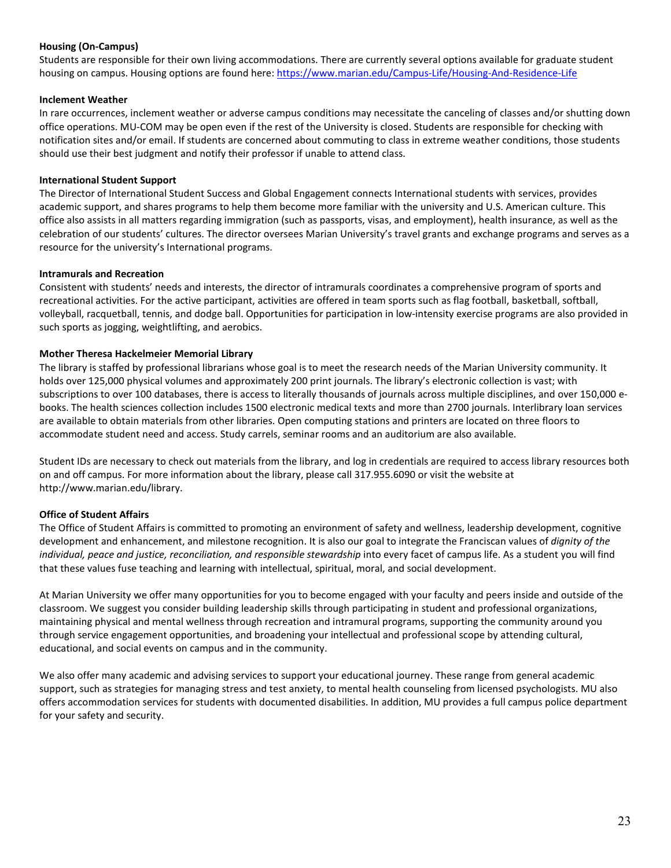## <span id="page-22-1"></span>**Housing (On-Campus)**

Students are responsible for their own living accommodations. There are currently several options available for graduate student housing on campus. Housing options are found here:<https://www.marian.edu/Campus-Life/Housing-And-Residence-Life>

### <span id="page-22-2"></span>**Inclement Weather**

In rare occurrences, inclement weather or adverse campus conditions may necessitate the canceling of classes and/or shutting down office operations. MU-COM may be open even if the rest of the University is closed. Students are responsible for checking with notification sites and/or email. If students are concerned about commuting to class in extreme weather conditions, those students should use their best judgment and notify their professor if unable to attend class.

#### <span id="page-22-3"></span>**International Student Support**

The Director of International Student Success and Global Engagement connects International students with services, provides academic support, and shares programs to help them become more familiar with the university and U.S. American culture. This office also assists in all matters regarding immigration (such as passports, visas, and employment), health insurance, as well as the celebration of our students' cultures. The director oversees Marian University's travel grants and exchange programs and serves as a resource for the university's International programs.

#### <span id="page-22-4"></span>**Intramurals and Recreation**

Consistent with students' needs and interests, the director of intramurals coordinates a comprehensive program of sports and recreational activities. For the active participant, activities are offered in team sports such as flag football, basketball, softball, volleyball, racquetball, tennis, and dodge ball. Opportunities for participation in low-intensity exercise programs are also provided in such sports as jogging, weightlifting, and aerobics.

#### <span id="page-22-5"></span>**Mother Theresa Hackelmeier Memorial Library**

The library is staffed by professional librarians whose goal is to meet the research needs of the Marian University community. It holds over 125,000 physical volumes and approximately 200 print journals. The library's electronic collection is vast; with subscriptions to over 100 databases, there is access to literally thousands of journals across multiple disciplines, and over 150,000 ebooks. The health sciences collection includes 1500 electronic medical texts and more than 2700 journals. Interlibrary loan services are available to obtain materials from other libraries. Open computing stations and printers are located on three floors to accommodate student need and access. Study carrels, seminar rooms and an auditorium are also available.

Student IDs are necessary to check out materials from the library, and log in credentials are required to access library resources both on and off campus. For more information about the library, please call 317.955.6090 or visit the website at http://www.marian.edu/library.

### <span id="page-22-0"></span>**Office of Student Affairs**

The Office of Student Affairs is committed to promoting an environment of safety and wellness, leadership development, cognitive development and enhancement, and milestone recognition. It is also our goal to integrate the Franciscan values of *dignity of the*  individual, peace and justice, reconciliation, and responsible stewardship into every facet of campus life. As a student you will find that these values fuse teaching and learning with intellectual, spiritual, moral, and social development.

At Marian University we offer many opportunities for you to become engaged with your faculty and peers inside and outside of the classroom. We suggest you consider building leadership skills through participating in student and professional organizations, maintaining physical and mental wellness through recreation and intramural programs, supporting the community around you through service engagement opportunities, and broadening your intellectual and professional scope by attending cultural, educational, and social events on campus and in the community.

We also offer many academic and advising services to support your educational journey. These range from general academic support, such as strategies for managing stress and test anxiety, to mental health counseling from licensed psychologists. MU also offers accommodation services for students with documented disabilities. In addition, MU provides a full campus police department for your safety and security.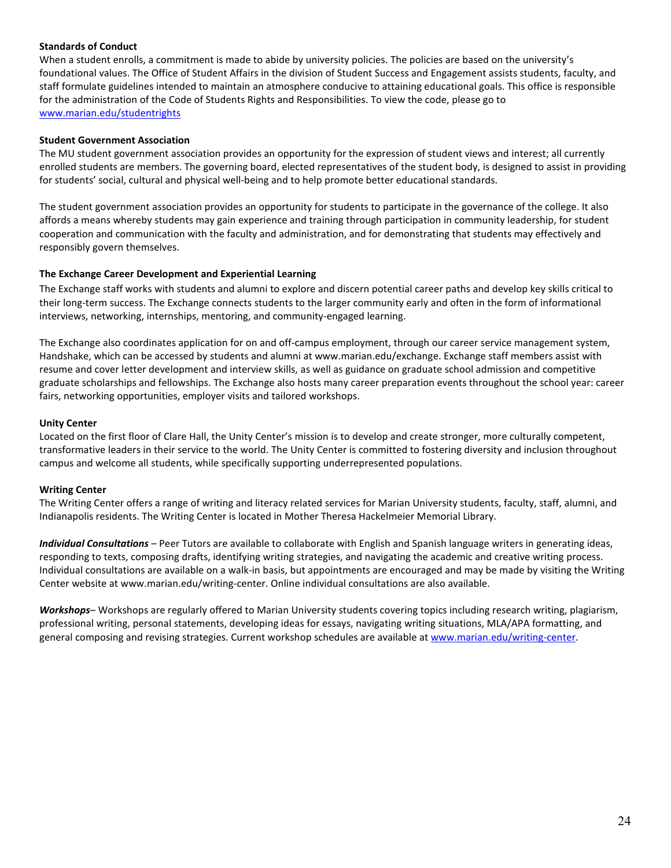### <span id="page-23-1"></span>**Standards of Conduct**

When a student enrolls, a commitment is made to abide by university policies. The policies are based on the university's foundational values. The Office of Student Affairs in the division of Student Success and Engagement assists students, faculty, and staff formulate guidelines intended to maintain an atmosphere conducive to attaining educational goals. This office is responsible for the administration of the Code of Students Rights and Responsibilities. To view the code, please go to [www.marian.edu/studentrights](http://www.marian.edu/studentrights)

#### <span id="page-23-2"></span>**Student Government Association**

The MU student government association provides an opportunity for the expression of student views and interest; all currently enrolled students are members. The governing board, elected representatives of the student body, is designed to assist in providing for students' social, cultural and physical well-being and to help promote better educational standards.

The student government association provides an opportunity for students to participate in the governance of the college. It also affords a means whereby students may gain experience and training through participation in community leadership, for student cooperation and communication with the faculty and administration, and for demonstrating that students may effectively and responsibly govern themselves.

#### <span id="page-23-0"></span>**The Exchange Career Development and Experiential Learning**

The Exchange staff works with students and alumni to explore and discern potential career paths and develop key skills critical to their long-term success. The Exchange connects students to the larger community early and often in the form of informational interviews, networking, internships, mentoring, and community-engaged learning.

The Exchange also coordinates application for on and off-campus employment, through our career service management system, Handshake, which can be accessed by students and alumni at www.marian.edu/exchange. Exchange staff members assist with resume and cover letter development and interview skills, as well as guidance on graduate school admission and competitive graduate scholarships and fellowships. The Exchange also hosts many career preparation events throughout the school year: career fairs, networking opportunities, employer visits and tailored workshops.

#### <span id="page-23-3"></span>**Unity Center**

Located on the first floor of Clare Hall, the Unity Center's mission is to develop and create stronger, more culturally competent, transformative leaders in their service to the world. The Unity Center is committed to fostering diversity and inclusion throughout campus and welcome all students, while specifically supporting underrepresented populations.

### <span id="page-23-4"></span>**Writing Center**

The Writing Center offers a range of writing and literacy related services for Marian University students, faculty, staff, alumni, and Indianapolis residents. The Writing Center is located in Mother Theresa Hackelmeier Memorial Library.

*Individual Consultations* – Peer Tutors are available to collaborate with English and Spanish language writers in generating ideas, responding to texts, composing drafts, identifying writing strategies, and navigating the academic and creative writing process. Individual consultations are available on a walk-in basis, but appointments are encouraged and may be made by visiting the Writing Center website at www.marian.edu/writing-center. Online individual consultations are also available.

*Workshops*– Workshops are regularly offered to Marian University students covering topics including research writing, plagiarism, professional writing, personal statements, developing ideas for essays, navigating writing situations, MLA/APA formatting, and general composing and revising strategies. Current workshop schedules are available at [www.marian.edu/writing-center.](http://www.marian.edu/writing-center)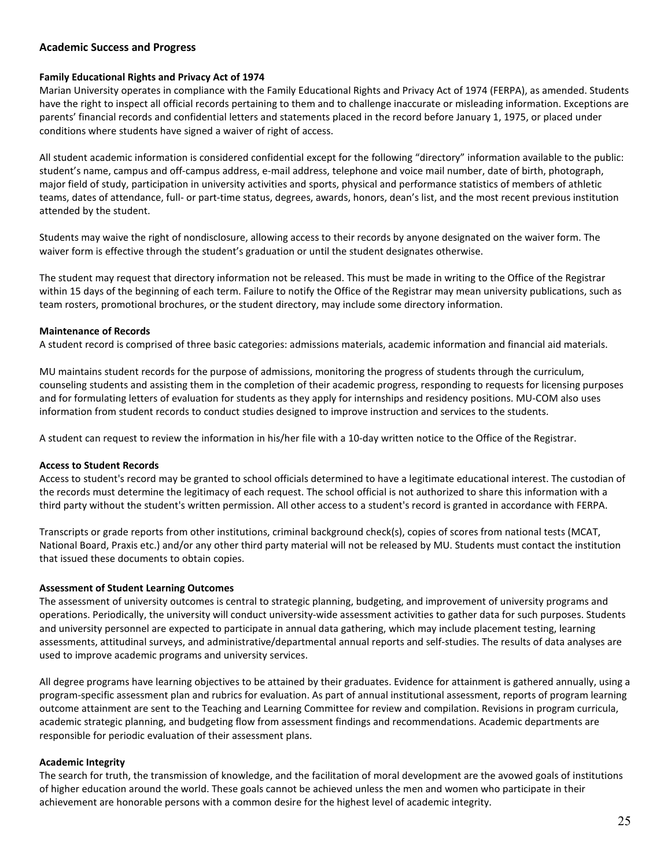# <span id="page-24-0"></span>**Academic Success and Progress**

#### <span id="page-24-4"></span>**Family Educational Rights and Privacy Act of 1974**

Marian University operates in compliance with the Family Educational Rights and Privacy Act of 1974 (FERPA), as amended. Students have the right to inspect all official records pertaining to them and to challenge inaccurate or misleading information. Exceptions are parents' financial records and confidential letters and statements placed in the record before January 1, 1975, or placed under conditions where students have signed a waiver of right of access.

All student academic information is considered confidential except for the following "directory" information available to the public: student's name, campus and off-campus address, e-mail address, telephone and voice mail number, date of birth, photograph, major field of study, participation in university activities and sports, physical and performance statistics of members of athletic teams, dates of attendance, full- or part-time status, degrees, awards, honors, dean's list, and the most recent previous institution attended by the student.

Students may waive the right of nondisclosure, allowing access to their records by anyone designated on the waiver form. The waiver form is effective through the student's graduation or until the student designates otherwise.

The student may request that directory information not be released. This must be made in writing to the Office of the Registrar within 15 days of the beginning of each term. Failure to notify the Office of the Registrar may mean university publications, such as team rosters, promotional brochures, or the student directory, may include some directory information.

#### <span id="page-24-5"></span>**Maintenance of Records**

A student record is comprised of three basic categories: admissions materials, academic information and financial aid materials.

MU maintains student records for the purpose of admissions, monitoring the progress of students through the curriculum, counseling students and assisting them in the completion of their academic progress, responding to requests for licensing purposes and for formulating letters of evaluation for students as they apply for internships and residency positions. MU-COM also uses information from student records to conduct studies designed to improve instruction and services to the students.

A student can request to review the information in his/her file with a 10-day written notice to the Office of the Registrar.

### <span id="page-24-2"></span>**Access to Student Records**

Access to student's record may be granted to school officials determined to have a legitimate educational interest. The custodian of the records must determine the legitimacy of each request. The school official is not authorized to share this information with a third party without the student's written permission. All other access to a student's record is granted in accordance with FERPA.

Transcripts or grade reports from other institutions, criminal background check(s), copies of scores from national tests (MCAT, National Board, Praxis etc.) and/or any other third party material will not be released by MU. Students must contact the institution that issued these documents to obtain copies.

### <span id="page-24-3"></span>**Assessment of Student Learning Outcomes**

The assessment of university outcomes is central to strategic planning, budgeting, and improvement of university programs and operations. Periodically, the university will conduct university-wide assessment activities to gather data for such purposes. Students and university personnel are expected to participate in annual data gathering, which may include placement testing, learning assessments, attitudinal surveys, and administrative/departmental annual reports and self-studies. The results of data analyses are used to improve academic programs and university services.

All degree programs have learning objectives to be attained by their graduates. Evidence for attainment is gathered annually, using a program-specific assessment plan and rubrics for evaluation. As part of annual institutional assessment, reports of program learning outcome attainment are sent to the Teaching and Learning Committee for review and compilation. Revisions in program curricula, academic strategic planning, and budgeting flow from assessment findings and recommendations. Academic departments are responsible for periodic evaluation of their assessment plans.

### <span id="page-24-1"></span>**Academic Integrity**

The search for truth, the transmission of knowledge, and the facilitation of moral development are the avowed goals of institutions of higher education around the world. These goals cannot be achieved unless the men and women who participate in their achievement are honorable persons with a common desire for the highest level of academic integrity.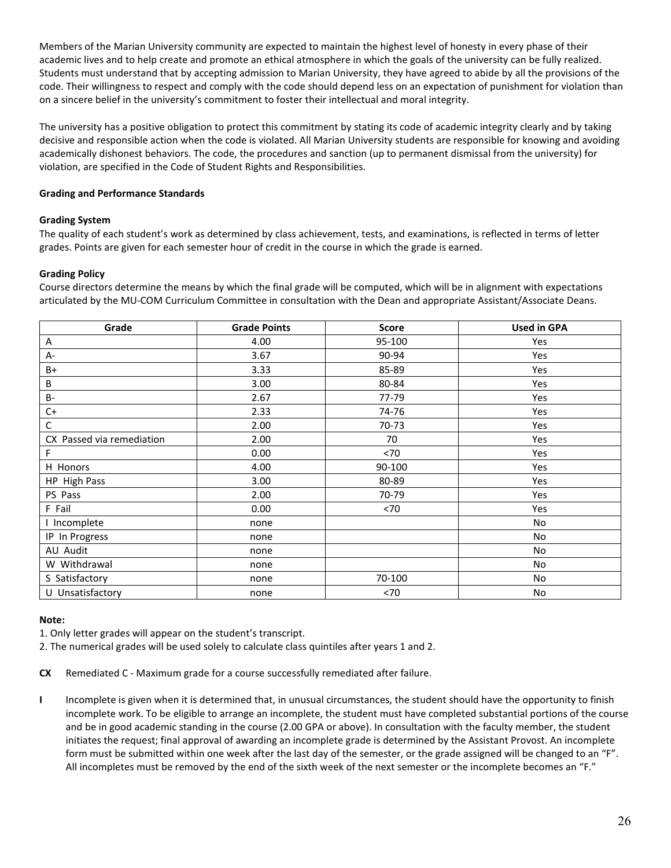Members of the Marian University community are expected to maintain the highest level of honesty in every phase of their academic lives and to help create and promote an ethical atmosphere in which the goals of the university can be fully realized. Students must understand that by accepting admission to Marian University, they have agreed to abide by all the provisions of the code. Their willingness to respect and comply with the code should depend less on an expectation of punishment for violation than on a sincere belief in the university's commitment to foster their intellectual and moral integrity.

The university has a positive obligation to protect this commitment by stating its code of academic integrity clearly and by taking decisive and responsible action when the code is violated. All Marian University students are responsible for knowing and avoiding academically dishonest behaviors. The code, the procedures and sanction (up to permanent dismissal from the university) for violation, are specified in the Code of Student Rights and Responsibilities.

## **Grading and Performance Standards**

## <span id="page-25-1"></span>**Grading System**

The quality of each student's work as determined by class achievement, tests, and examinations, is reflected in terms of letter grades. Points are given for each semester hour of credit in the course in which the grade is earned.

## <span id="page-25-0"></span>**Grading Policy**

Course directors determine the means by which the final grade will be computed, which will be in alignment with expectations articulated by the MU-COM Curriculum Committee in consultation with the Dean and appropriate Assistant/Associate Deans.

| Grade                     | <b>Grade Points</b> | <b>Score</b> | <b>Used in GPA</b> |
|---------------------------|---------------------|--------------|--------------------|
| Α                         | 4.00                | 95-100       | Yes                |
| A-                        | 3.67                | 90-94        | Yes                |
| $B+$                      | 3.33                | 85-89        | Yes                |
| В                         | 3.00                | 80-84        | Yes                |
| <b>B-</b>                 | 2.67                | 77-79        | Yes                |
| $C+$                      | 2.33                | 74-76        | Yes                |
| $\mathsf C$               | 2.00                | 70-73        | Yes                |
| CX Passed via remediation | 2.00                | 70           | Yes                |
| F                         | 0.00                | < 70         | Yes                |
| H Honors                  | 4.00                | 90-100       | Yes                |
| HP High Pass              | 3.00                | 80-89        | Yes                |
| PS Pass                   | 2.00                | 70-79        | Yes                |
| F Fail                    | 0.00                | < 70         | Yes                |
| I Incomplete              | none                |              | No                 |
| IP In Progress            | none                |              | No                 |
| AU Audit                  | none                |              | No                 |
| W Withdrawal              | none                |              | No                 |
| S Satisfactory            | none                | 70-100       | No                 |
| U Unsatisfactory          | none                | < 70         | No                 |

### **Note:**

1. Only letter grades will appear on the student's transcript.

2. The numerical grades will be used solely to calculate class quintiles after years 1 and 2.

**CX** Remediated C - Maximum grade for a course successfully remediated after failure.

<span id="page-25-2"></span>**I** Incomplete is given when it is determined that, in unusual circumstances, the student should have the opportunity to finish incomplete work. To be eligible to arrange an incomplete, the student must have completed substantial portions of the course and be in good academic standing in the course (2.00 GPA or above). In consultation with the faculty member, the student initiates the request; final approval of awarding an incomplete grade is determined by the Assistant Provost. An incomplete form must be submitted within one week after the last day of the semester, or the grade assigned will be changed to an "F". All incompletes must be removed by the end of the sixth week of the next semester or the incomplete becomes an "F."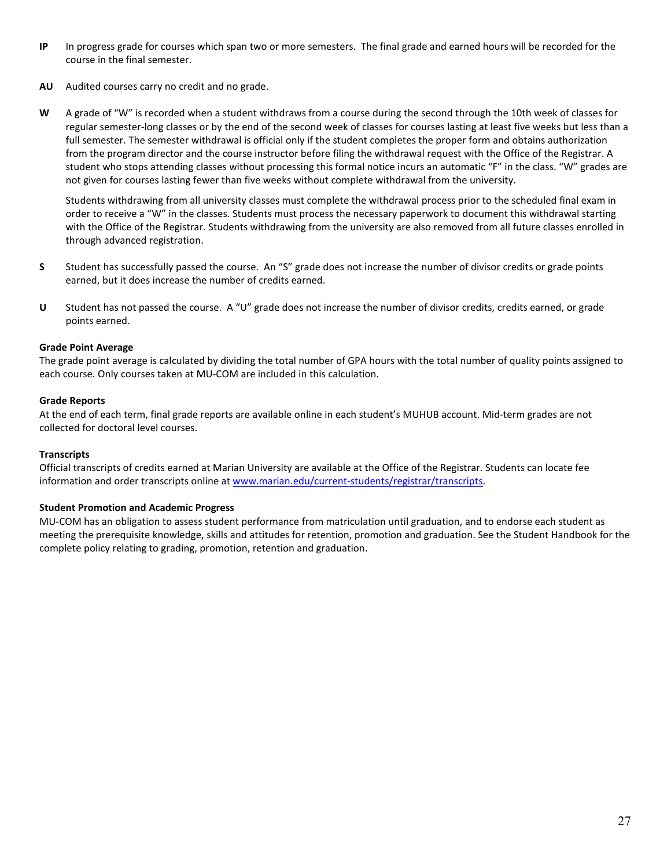- **IP** In progress grade for courses which span two or more semesters. The final grade and earned hours will be recorded for the course in the final semester.
- **AU** Audited courses carry no credit and no grade.
- **W** A grade of "W" is recorded when a student withdraws from a course during the second through the 10th week of classes for regular semester-long classes or by the end of the second week of classes for courses lasting at least five weeks but less than a full semester. The semester withdrawal is official only if the student completes the proper form and obtains authorization from the program director and the course instructor before filing the withdrawal request with the Office of the Registrar. A student who stops attending classes without processing this formal notice incurs an automatic "F" in the class. "W" grades are not given for courses lasting fewer than five weeks without complete withdrawal from the university.

Students withdrawing from all university classes must complete the withdrawal process prior to the scheduled final exam in order to receive a "W" in the classes. Students must process the necessary paperwork to document this withdrawal starting with the Office of the Registrar. Students withdrawing from the university are also removed from all future classes enrolled in through advanced registration.

- **S** Student has successfully passed the course. An "S" grade does not increase the number of divisor credits or grade points earned, but it does increase the number of credits earned.
- **U** Student has not passed the course. A "U" grade does not increase the number of divisor credits, credits earned, or grade points earned.

## <span id="page-26-0"></span>**Grade Point Average**

The grade point average is calculated by dividing the total number of GPA hours with the total number of quality points assigned to each course. Only courses taken at MU-COM are included in this calculation.

### <span id="page-26-1"></span>**Grade Reports**

At the end of each term, final grade reports are available online in each student's MUHUB account. Mid-term grades are not collected for doctoral level courses.

### <span id="page-26-3"></span>**Transcripts**

Official transcripts of credits earned at Marian University are available at the Office of the Registrar. Students can locate fee information and order transcripts online a[t www.marian.edu/current-students/registrar/transcripts.](http://www.marian.edu/current-students/registrar/transcripts)

### <span id="page-26-2"></span>**Student Promotion and Academic Progress**

MU-COM has an obligation to assess student performance from matriculation until graduation, and to endorse each student as meeting the prerequisite knowledge, skills and attitudes for retention, promotion and graduation. See the Student Handbook for the complete policy relating to grading, promotion, retention and graduation.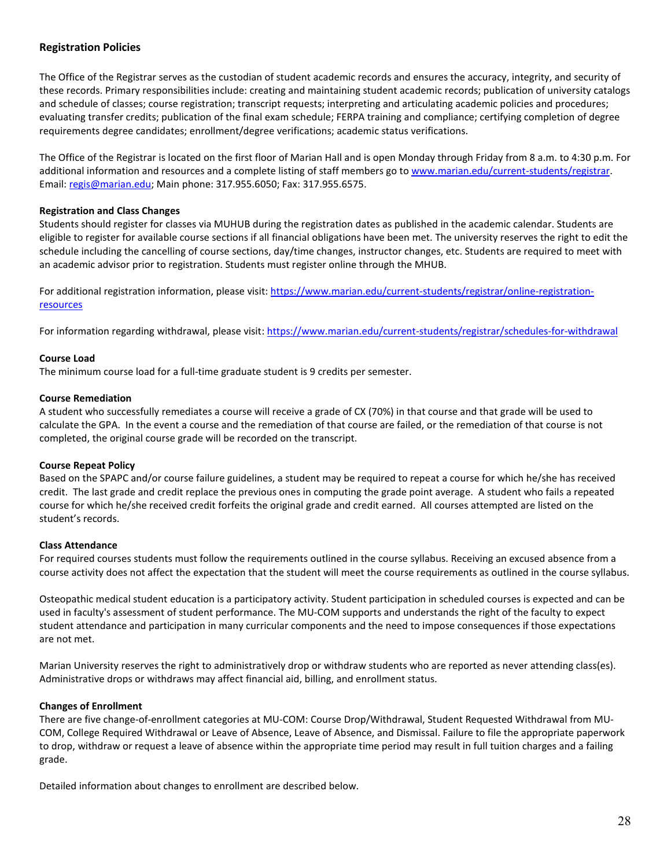# <span id="page-27-0"></span>**Registration Policies**

The Office of the Registrar serves as the custodian of student academic records and ensures the accuracy, integrity, and security of these records. Primary responsibilities include: creating and maintaining student academic records; publication of university catalogs and schedule of classes; course registration; transcript requests; interpreting and articulating academic policies and procedures; evaluating transfer credits; publication of the final exam schedule; FERPA training and compliance; certifying completion of degree requirements degree candidates; enrollment/degree verifications; academic status verifications.

The Office of the Registrar is located on the first floor of Marian Hall and is open Monday through Friday from 8 a.m. to 4:30 p.m. For additional information and resources and a complete listing of staff members go t[o www.marian.edu/current-students/registrar.](http://www.marian.edu/current-students/registrar) Email: [regis@marian.edu;](mailto:regis@marian.edu) Main phone: 317.955.6050; Fax: 317.955.6575.

#### <span id="page-27-3"></span>**Registration and Class Changes**

Students should register for classes via MUHUB during the registration dates as published in the academic calendar. Students are eligible to register for available course sections if all financial obligations have been met. The university reserves the right to edit the schedule including the cancelling of course sections, day/time changes, instructor changes, etc. Students are required to meet with an academic advisor prior to registration. Students must register online through the MHUB.

For additional registration information, please visit: [https://www.marian.edu/current-students/registrar/online-registration](https://www.marian.edu/current-students/registrar/online-registration-resources)[resources](https://www.marian.edu/current-students/registrar/online-registration-resources) 

For information regarding withdrawal, please visit[: https://www.marian.edu/current-students/registrar/schedules-for-withdrawal](https://www.marian.edu/current-students/registrar/schedules-for-withdrawal)

#### <span id="page-27-4"></span>**Course Load**

The minimum course load for a full-time graduate student is 9 credits per semester.

#### <span id="page-27-5"></span>**Course Remediation**

A student who successfully remediates a course will receive a grade of CX (70%) in that course and that grade will be used to calculate the GPA. In the event a course and the remediation of that course are failed, or the remediation of that course is not completed, the original course grade will be recorded on the transcript.

#### <span id="page-27-6"></span>**Course Repeat Policy**

Based on the SPAPC and/or course failure guidelines, a student may be required to repeat a course for which he/she has received credit. The last grade and credit replace the previous ones in computing the grade point average. A student who fails a repeated course for which he/she received credit forfeits the original grade and credit earned. All courses attempted are listed on the student's records.

#### <span id="page-27-2"></span>**Class Attendance**

For required courses students must follow the requirements outlined in the course syllabus. Receiving an excused absence from a course activity does not affect the expectation that the student will meet the course requirements as outlined in the course syllabus.

Osteopathic medical student education is a participatory activity. Student participation in scheduled courses is expected and can be used in faculty's assessment of student performance. The MU-COM supports and understands the right of the faculty to expect student attendance and participation in many curricular components and the need to impose consequences if those expectations are not met.

Marian University reserves the right to administratively drop or withdraw students who are reported as never attending class(es). Administrative drops or withdraws may affect financial aid, billing, and enrollment status.

#### <span id="page-27-1"></span>**Changes of Enrollment**

There are five change-of-enrollment categories at MU-COM: Course Drop/Withdrawal, Student Requested Withdrawal from MU-COM, College Required Withdrawal or Leave of Absence, Leave of Absence, and Dismissal. Failure to file the appropriate paperwork to drop, withdraw or request a leave of absence within the appropriate time period may result in full tuition charges and a failing grade.

Detailed information about changes to enrollment are described below.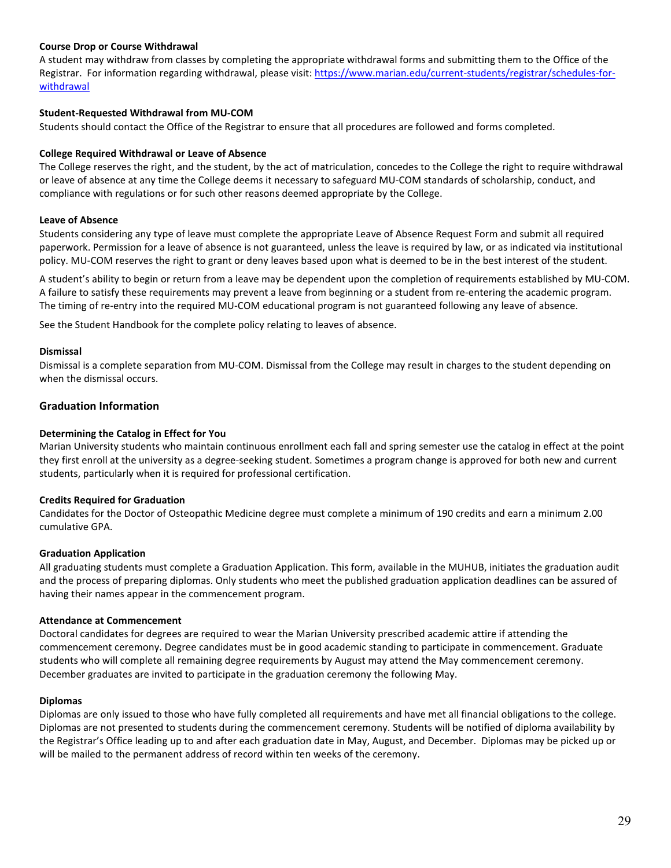### <span id="page-28-2"></span>**Course Drop or Course Withdrawal**

A student may withdraw from classes by completing the appropriate withdrawal forms and submitting them to the Office of the Registrar. For information regarding withdrawal, please visit: [https://www.marian.edu/current-students/registrar/schedules-for](https://www.marian.edu/current-students/registrar/schedules-for-withdrawal)[withdrawal](https://www.marian.edu/current-students/registrar/schedules-for-withdrawal)

### <span id="page-28-9"></span>**Student-Requested Withdrawal from MU-COM**

Students should contact the Office of the Registrar to ensure that all procedures are followed and forms completed.

#### <span id="page-28-8"></span>**College Required Withdrawal or Leave of Absence**

The College reserves the right, and the student, by the act of matriculation, concedes to the College the right to require withdrawal or leave of absence at any time the College deems it necessary to safeguard MU-COM standards of scholarship, conduct, and compliance with regulations or for such other reasons deemed appropriate by the College.

#### <span id="page-28-7"></span>**Leave of Absence**

Students considering any type of leave must complete the appropriate Leave of Absence Request Form and submit all required paperwork. Permission for a leave of absence is not guaranteed, unless the leave is required by law, or as indicated via institutional policy. MU-COM reserves the right to grant or deny leaves based upon what is deemed to be in the best interest of the student.

A student's ability to begin or return from a leave may be dependent upon the completion of requirements established by MU-COM. A failure to satisfy these requirements may prevent a leave from beginning or a student from re-entering the academic program. The timing of re-entry into the required MU-COM educational program is not guaranteed following any leave of absence.

See the Student Handbook for the complete policy relating to leaves of absence.

#### <span id="page-28-5"></span>**Dismissal**

Dismissal is a complete separation from MU-COM. Dismissal from the College may result in charges to the student depending on when the dismissal occurs.

# **Graduation Information**

#### <span id="page-28-1"></span>**Determining the Catalog in Effect for You**

Marian University students who maintain continuous enrollment each fall and spring semester use the catalog in effect at the point they first enroll at the university as a degree-seeking student. Sometimes a program change is approved for both new and current students, particularly when it is required for professional certification.

### <span id="page-28-3"></span>**Credits Required for Graduation**

Candidates for the Doctor of Osteopathic Medicine degree must complete a minimum of 190 credits and earn a minimum 2.00 cumulative GPA.

#### <span id="page-28-6"></span>**Graduation Application**

All graduating students must complete a Graduation Application. This form, available in the MUHUB, initiates the graduation audit and the process of preparing diplomas. Only students who meet the published graduation application deadlines can be assured of having their names appear in the commencement program.

#### <span id="page-28-0"></span>**Attendance at Commencement**

Doctoral candidates for degrees are required to wear the Marian University prescribed academic attire if attending the commencement ceremony. Degree candidates must be in good academic standing to participate in commencement. Graduate students who will complete all remaining degree requirements by August may attend the May commencement ceremony. December graduates are invited to participate in the graduation ceremony the following May.

#### <span id="page-28-4"></span>**Diplomas**

Diplomas are only issued to those who have fully completed all requirements and have met all financial obligations to the college. Diplomas are not presented to students during the commencement ceremony. Students will be notified of diploma availability by the Registrar's Office leading up to and after each graduation date in May, August, and December. Diplomas may be picked up or will be mailed to the permanent address of record within ten weeks of the ceremony.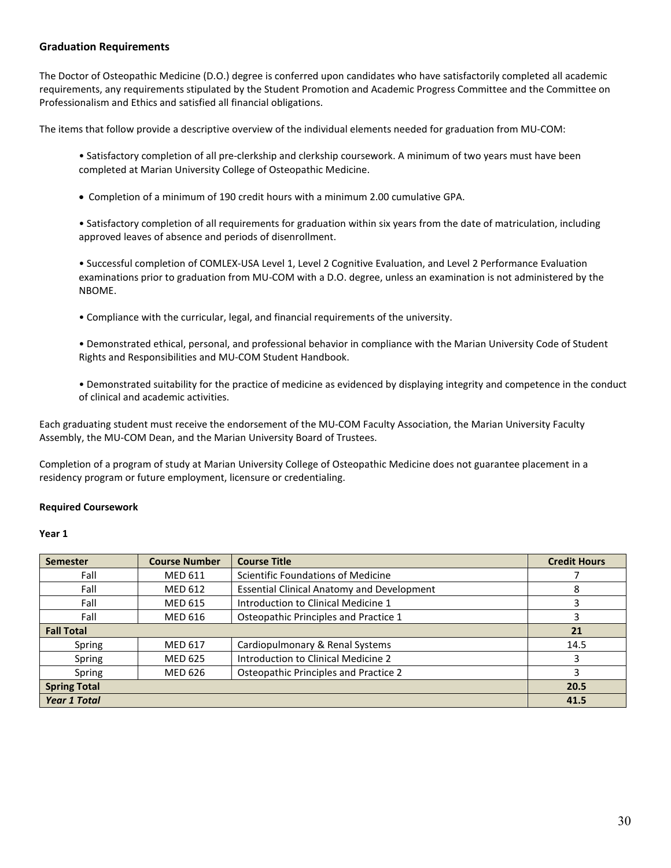# <span id="page-29-0"></span>**Graduation Requirements**

The Doctor of Osteopathic Medicine (D.O.) degree is conferred upon candidates who have satisfactorily completed all academic requirements, any requirements stipulated by the Student Promotion and Academic Progress Committee and the Committee on Professionalism and Ethics and satisfied all financial obligations.

The items that follow provide a descriptive overview of the individual elements needed for graduation from MU-COM:

• Satisfactory completion of all pre-clerkship and clerkship coursework. A minimum of two years must have been completed at Marian University College of Osteopathic Medicine.

• Completion of a minimum of 190 credit hours with a minimum 2.00 cumulative GPA.

• Satisfactory completion of all requirements for graduation within six years from the date of matriculation, including approved leaves of absence and periods of disenrollment.

• Successful completion of COMLEX-USA Level 1, Level 2 Cognitive Evaluation, and Level 2 Performance Evaluation examinations prior to graduation from MU-COM with a D.O. degree, unless an examination is not administered by the NBOME.

• Compliance with the curricular, legal, and financial requirements of the university.

• Demonstrated ethical, personal, and professional behavior in compliance with the Marian University Code of Student Rights and Responsibilities and MU-COM Student Handbook.

• Demonstrated suitability for the practice of medicine as evidenced by displaying integrity and competence in the conduct of clinical and academic activities.

Each graduating student must receive the endorsement of the MU-COM Faculty Association, the Marian University Faculty Assembly, the MU-COM Dean, and the Marian University Board of Trustees.

Completion of a program of study at Marian University College of Osteopathic Medicine does not guarantee placement in a residency program or future employment, licensure or credentialing.

### <span id="page-29-1"></span>**Required Coursework**

#### **Year 1**

| <b>Semester</b>     | <b>Course Number</b> | <b>Course Title</b>                               | <b>Credit Hours</b> |
|---------------------|----------------------|---------------------------------------------------|---------------------|
| Fall                | <b>MED 611</b>       | Scientific Foundations of Medicine                |                     |
| Fall                | <b>MED 612</b>       | <b>Essential Clinical Anatomy and Development</b> | 8                   |
| Fall                | <b>MED 615</b>       | Introduction to Clinical Medicine 1               |                     |
| Fall                | MED 616              | Osteopathic Principles and Practice 1             |                     |
| <b>Fall Total</b>   |                      |                                                   | 21                  |
| Spring              | <b>MED 617</b>       | Cardiopulmonary & Renal Systems                   | 14.5                |
| Spring              | <b>MED 625</b>       | Introduction to Clinical Medicine 2               |                     |
| Spring              | <b>MED 626</b>       | Osteopathic Principles and Practice 2             |                     |
| <b>Spring Total</b> |                      |                                                   | 20.5                |
| <b>Year 1 Total</b> |                      |                                                   | 41.5                |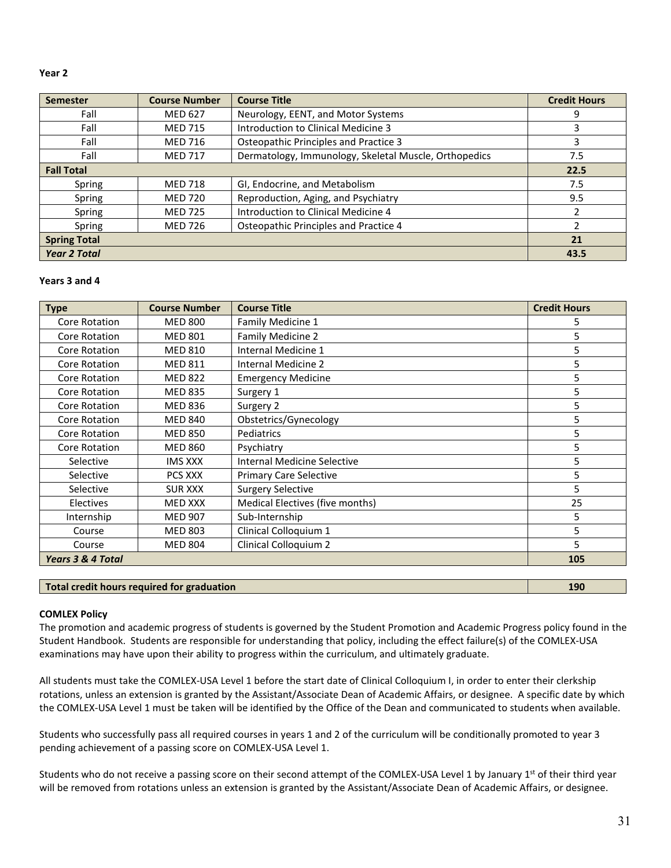#### **Year 2**

| <b>Semester</b>     | <b>Course Number</b> | <b>Course Title</b>                                   | <b>Credit Hours</b> |
|---------------------|----------------------|-------------------------------------------------------|---------------------|
| Fall                | <b>MED 627</b>       | Neurology, EENT, and Motor Systems                    | 9                   |
| Fall                | <b>MED 715</b>       | Introduction to Clinical Medicine 3                   | 3                   |
| Fall                | <b>MED 716</b>       | Osteopathic Principles and Practice 3                 | 3                   |
| Fall                | <b>MED 717</b>       | Dermatology, Immunology, Skeletal Muscle, Orthopedics | 7.5                 |
| <b>Fall Total</b>   |                      |                                                       | 22.5                |
| Spring              | <b>MED 718</b>       | GI, Endocrine, and Metabolism                         | 7.5                 |
| Spring              | <b>MED 720</b>       | Reproduction, Aging, and Psychiatry                   | 9.5                 |
| Spring              | <b>MED 725</b>       | Introduction to Clinical Medicine 4                   | $\mathcal{P}$       |
| Spring              | <b>MED 726</b>       | Osteopathic Principles and Practice 4                 | $\mathfrak z$       |
| <b>Spring Total</b> |                      |                                                       | 21                  |
| <b>Year 2 Total</b> |                      |                                                       | 43.5                |

#### **Years 3 and 4**

| <b>Type</b>                  | <b>Course Number</b> | <b>Course Title</b>             | <b>Credit Hours</b> |
|------------------------------|----------------------|---------------------------------|---------------------|
| Core Rotation                | <b>MED 800</b>       | Family Medicine 1               | 5                   |
| Core Rotation                | <b>MED 801</b>       | Family Medicine 2               | 5                   |
| Core Rotation                | <b>MED 810</b>       | Internal Medicine 1             | 5                   |
| Core Rotation                | <b>MED 811</b>       | Internal Medicine 2             | 5                   |
| Core Rotation                | <b>MED 822</b>       | <b>Emergency Medicine</b>       | 5                   |
| Core Rotation                | <b>MED 835</b>       | Surgery 1                       | 5                   |
| Core Rotation                | <b>MED 836</b>       | Surgery 2                       | 5                   |
| Core Rotation                | <b>MED 840</b>       | Obstetrics/Gynecology           | 5                   |
| Core Rotation                | <b>MED 850</b>       | Pediatrics                      | 5                   |
| Core Rotation                | <b>MED 860</b>       | Psychiatry                      | 5                   |
| Selective                    | <b>IMS XXX</b>       | Internal Medicine Selective     | 5                   |
| Selective                    | PCS XXX              | <b>Primary Care Selective</b>   | 5                   |
| Selective                    | <b>SUR XXX</b>       | <b>Surgery Selective</b>        | 5                   |
| Electives                    | MED XXX              | Medical Electives (five months) | 25                  |
| Internship                   | <b>MED 907</b>       | Sub-Internship                  | 5                   |
| Course                       | <b>MED 803</b>       | Clinical Colloquium 1           | 5                   |
| Course                       | <b>MED 804</b>       | Clinical Colloquium 2           | 5                   |
| <b>Years 3 &amp; 4 Total</b> |                      |                                 | 105                 |

# **Total credit hours required for graduation 190**

### <span id="page-30-0"></span>**COMLEX Policy**

The promotion and academic progress of students is governed by the Student Promotion and Academic Progress policy found in the Student Handbook. Students are responsible for understanding that policy, including the effect failure(s) of the COMLEX-USA examinations may have upon their ability to progress within the curriculum, and ultimately graduate.

All students must take the COMLEX-USA Level 1 before the start date of Clinical Colloquium I, in order to enter their clerkship rotations, unless an extension is granted by the Assistant/Associate Dean of Academic Affairs, or designee. A specific date by which the COMLEX-USA Level 1 must be taken will be identified by the Office of the Dean and communicated to students when available.

Students who successfully pass all required courses in years 1 and 2 of the curriculum will be conditionally promoted to year 3 pending achievement of a passing score on COMLEX-USA Level 1.

Students who do not receive a passing score on their second attempt of the COMLEX-USA Level 1 by January 1<sup>st</sup> of their third year will be removed from rotations unless an extension is granted by the Assistant/Associate Dean of Academic Affairs, or designee.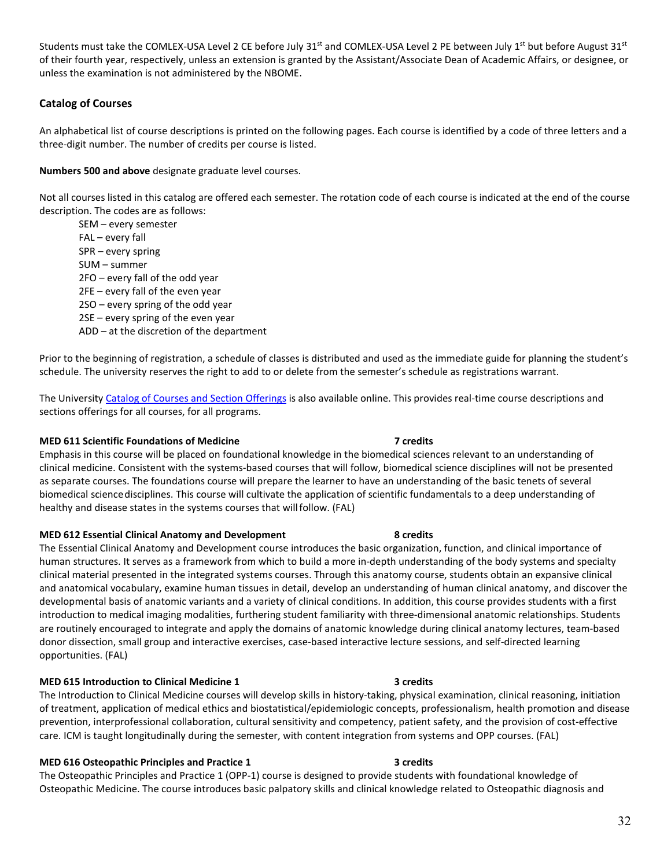Students must take the COMLEX-USA Level 2 CE before July  $31<sup>st</sup>$  and COMLEX-USA Level 2 PE between July  $1<sup>st</sup>$  but before August  $31<sup>st</sup>$ of their fourth year, respectively, unless an extension is granted by the Assistant/Associate Dean of Academic Affairs, or designee, or unless the examination is not administered by the NBOME.

# <span id="page-31-0"></span>**Catalog of Courses**

An alphabetical list of course descriptions is printed on the following pages. Each course is identified by a code of three letters and a three-digit number. The number of credits per course is listed.

#### **Numbers 500 and above** designate graduate level courses.

Not all courses listed in this catalog are offered each semester. The rotation code of each course is indicated at the end of the course description. The codes are as follows:

SEM – every semester FAL – every fall SPR – every spring SUM – summer 2FO – every fall of the odd year 2FE – every fall of the even year 2SO – every spring of the odd year 2SE – every spring of the even year ADD – at the discretion of the department

Prior to the beginning of registration, a schedule of classes is distributed and used as the immediate guide for planning the student's schedule. The university reserves the right to add to or delete from the semester's schedule as registrations warrant.

The Universit[y Catalog of Courses and Section Offerings](https://hub.marian.edu/student/courses?_ga=2.222789339.1176439821.1551185501-956312658.1540479362) is also available online. This provides real-time course descriptions and sections offerings for all courses, for all programs.

#### **MED 611 Scientific Foundations of Medicine 7 credits**

Emphasis in this course will be placed on foundational knowledge in the biomedical sciences relevant to an understanding of clinical medicine. Consistent with the systems-based courses that will follow, biomedical science disciplines will not be presented as separate courses. The foundations course will prepare the learner to have an understanding of the basic tenets of several biomedical sciencedisciplines. This course will cultivate the application of scientific fundamentals to a deep understanding of healthy and disease states in the systems courses that willfollow. (FAL)

#### **MED 612 Essential Clinical Anatomy and Development 8 credits**

The Essential Clinical Anatomy and Development course introduces the basic organization, function, and clinical importance of human structures. It serves as a framework from which to build a more in-depth understanding of the body systems and specialty clinical material presented in the integrated systems courses. Through this anatomy course, students obtain an expansive clinical and anatomical vocabulary, examine human tissues in detail, develop an understanding of human clinical anatomy, and discover the developmental basis of anatomic variants and a variety of clinical conditions. In addition, this course provides students with a first introduction to medical imaging modalities, furthering student familiarity with three-dimensional anatomic relationships. Students are routinely encouraged to integrate and apply the domains of anatomic knowledge during clinical anatomy lectures, team-based donor dissection, small group and interactive exercises, case-based interactive lecture sessions, and self-directed learning opportunities. (FAL)

## **MED 615 Introduction to Clinical Medicine 1 3 credits**

The Introduction to Clinical Medicine courses will develop skills in history-taking, physical examination, clinical reasoning, initiation of treatment, application of medical ethics and biostatistical/epidemiologic concepts, professionalism, health promotion and disease prevention, interprofessional collaboration, cultural sensitivity and competency, patient safety, and the provision of cost-effective care. ICM is taught longitudinally during the semester, with content integration from systems and OPP courses. (FAL)

#### **MED 616 Osteopathic Principles and Practice 1 3 Credits** 3 credits

The Osteopathic Principles and Practice 1 (OPP-1) course is designed to provide students with foundational knowledge of Osteopathic Medicine. The course introduces basic palpatory skills and clinical knowledge related to Osteopathic diagnosis and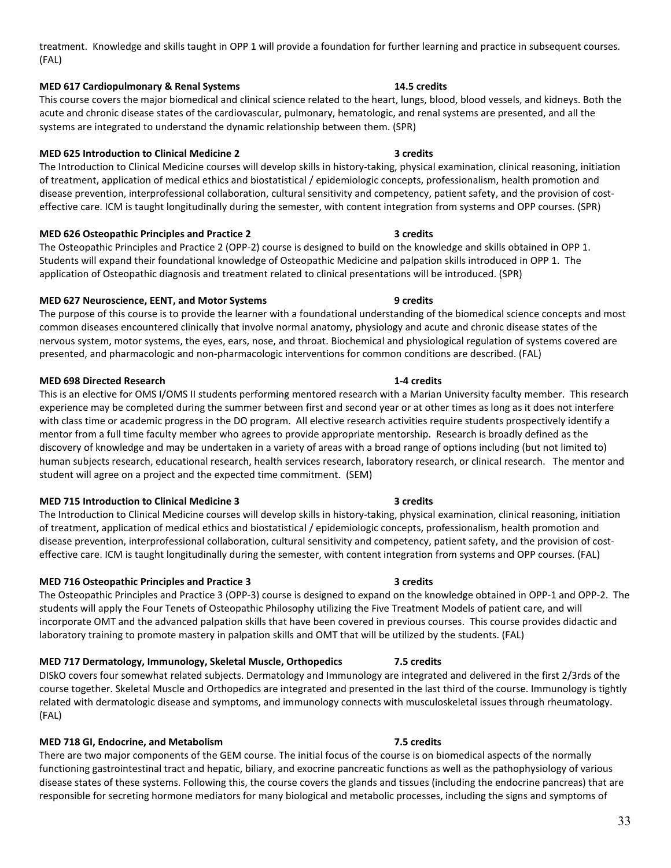# treatment. Knowledge and skills taught in OPP 1 will provide a foundation for further learning and practice in subsequent courses. (FAL)

# **MED 617 Cardiopulmonary & Renal Systems 14.5 credits**

This course covers the major biomedical and clinical science related to the heart, lungs, blood, blood vessels, and kidneys. Both the acute and chronic disease states of the cardiovascular, pulmonary, hematologic, and renal systems are presented, and all the systems are integrated to understand the dynamic relationship between them. (SPR)

# **MED 625 Introduction to Clinical Medicine 2 3 credits**

The Introduction to Clinical Medicine courses will develop skills in history-taking, physical examination, clinical reasoning, initiation of treatment, application of medical ethics and biostatistical / epidemiologic concepts, professionalism, health promotion and disease prevention, interprofessional collaboration, cultural sensitivity and competency, patient safety, and the provision of costeffective care. ICM is taught longitudinally during the semester, with content integration from systems and OPP courses. (SPR)

# **MED 626 Osteopathic Principles and Practice 2 3 credits**

The Osteopathic Principles and Practice 2 (OPP-2) course is designed to build on the knowledge and skills obtained in OPP 1. Students will expand their foundational knowledge of Osteopathic Medicine and palpation skills introduced in OPP 1. The application of Osteopathic diagnosis and treatment related to clinical presentations will be introduced. (SPR)

# **MED 627 Neuroscience, EENT, and Motor Systems 9 credits**

The purpose of this course is to provide the learner with a foundational understanding of the biomedical science concepts and most common diseases encountered clinically that involve normal anatomy, physiology and acute and chronic disease states of the nervous system, motor systems, the eyes, ears, nose, and throat. Biochemical and physiological regulation of systems covered are presented, and pharmacologic and non-pharmacologic interventions for common conditions are described. (FAL)

# **MED 698 Directed Research 1-4 credits**

This is an elective for OMS I/OMS II students performing mentored research with a Marian University faculty member. This research experience may be completed during the summer between first and second year or at other times as long as it does not interfere with class time or academic progress in the DO program. All elective research activities require students prospectively identify a mentor from a full time faculty member who agrees to provide appropriate mentorship. Research is broadly defined as the discovery of knowledge and may be undertaken in a variety of areas with a broad range of options including (but not limited to) human subjects research, educational research, health services research, laboratory research, or clinical research. The mentor and student will agree on a project and the expected time commitment. (SEM)

# **MED 715 Introduction to Clinical Medicine 3 3 credits**

The Introduction to Clinical Medicine courses will develop skills in history-taking, physical examination, clinical reasoning, initiation of treatment, application of medical ethics and biostatistical / epidemiologic concepts, professionalism, health promotion and disease prevention, interprofessional collaboration, cultural sensitivity and competency, patient safety, and the provision of costeffective care. ICM is taught longitudinally during the semester, with content integration from systems and OPP courses. (FAL)

# **MED 716 Osteopathic Principles and Practice 3 3 credits**

The Osteopathic Principles and Practice 3 (OPP-3) course is designed to expand on the knowledge obtained in OPP-1 and OPP-2. The students will apply the Four Tenets of Osteopathic Philosophy utilizing the Five Treatment Models of patient care, and will incorporate OMT and the advanced palpation skills that have been covered in previous courses. This course provides didactic and laboratory training to promote mastery in palpation skills and OMT that will be utilized by the students. (FAL)

# **MED 717 Dermatology, Immunology, Skeletal Muscle, Orthopedics 7.5 credits**

DISkO covers four somewhat related subjects. Dermatology and Immunology are integrated and delivered in the first 2/3rds of the course together. Skeletal Muscle and Orthopedics are integrated and presented in the last third of the course. Immunology is tightly related with dermatologic disease and symptoms, and immunology connects with musculoskeletal issues through rheumatology. (FAL)

# **MED 718 GI, Endocrine, and Metabolism 7.5 credits**

There are two major components of the GEM course. The initial focus of the course is on biomedical aspects of the normally functioning gastrointestinal tract and hepatic, biliary, and exocrine pancreatic functions as well as the pathophysiology of various disease states of these systems. Following this, the course covers the glands and tissues (including the endocrine pancreas) that are responsible for secreting hormone mediators for many biological and metabolic processes, including the signs and symptoms of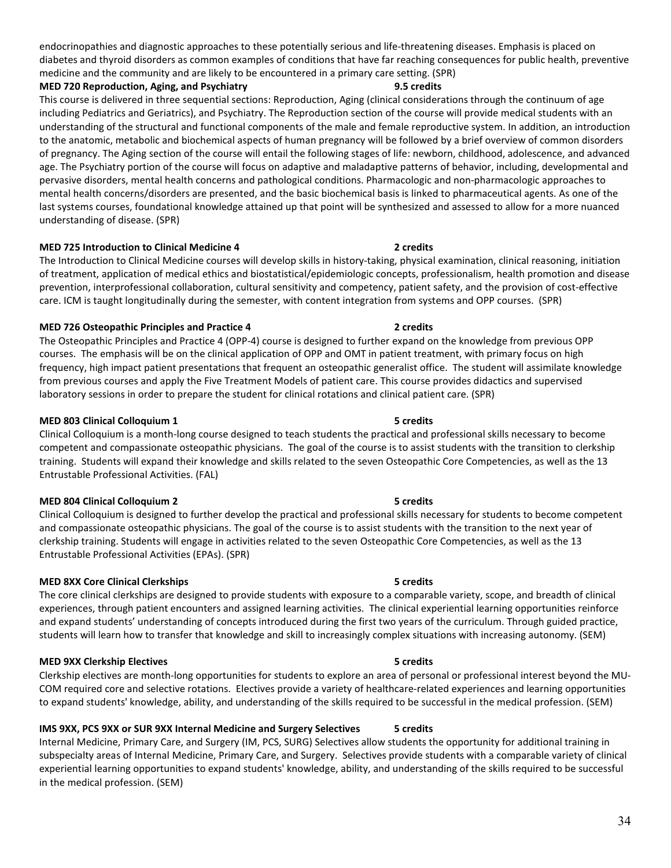endocrinopathies and diagnostic approaches to these potentially serious and life-threatening diseases. Emphasis is placed on diabetes and thyroid disorders as common examples of conditions that have far reaching consequences for public health, preventive medicine and the community and are likely to be encountered in a primary care setting. (SPR)

**MED 720 Reproduction, Aging, and Psychiatry 9.5 credits**

This course is delivered in three sequential sections: Reproduction, Aging (clinical considerations through the continuum of age including Pediatrics and Geriatrics), and Psychiatry. The Reproduction section of the course will provide medical students with an understanding of the structural and functional components of the male and female reproductive system. In addition, an introduction to the anatomic, metabolic and biochemical aspects of human pregnancy will be followed by a brief overview of common disorders of pregnancy. The Aging section of the course will entail the following stages of life: newborn, childhood, adolescence, and advanced age. The Psychiatry portion of the course will focus on adaptive and maladaptive patterns of behavior, including, developmental and pervasive disorders, mental health concerns and pathological conditions. Pharmacologic and non-pharmacologic approaches to mental health concerns/disorders are presented, and the basic biochemical basis is linked to pharmaceutical agents. As one of the last systems courses, foundational knowledge attained up that point will be synthesized and assessed to allow for a more nuanced understanding of disease. (SPR)

### **MED 725 Introduction to Clinical Medicine 4 2 credits**

The Introduction to Clinical Medicine courses will develop skills in history-taking, physical examination, clinical reasoning, initiation of treatment, application of medical ethics and biostatistical/epidemiologic concepts, professionalism, health promotion and disease prevention, interprofessional collaboration, cultural sensitivity and competency, patient safety, and the provision of cost-effective care. ICM is taught longitudinally during the semester, with content integration from systems and OPP courses. (SPR)

### **MED 726 Osteopathic Principles and Practice 4 2 credits**

The Osteopathic Principles and Practice 4 (OPP-4) course is designed to further expand on the knowledge from previous OPP courses. The emphasis will be on the clinical application of OPP and OMT in patient treatment, with primary focus on high frequency, high impact patient presentations that frequent an osteopathic generalist office. The student will assimilate knowledge from previous courses and apply the Five Treatment Models of patient care. This course provides didactics and supervised laboratory sessions in order to prepare the student for clinical rotations and clinical patient care. (SPR)

#### **MED 803 Clinical Colloquium 1 5 credits**

Clinical Colloquium is a month-long course designed to teach students the practical and professional skills necessary to become competent and compassionate osteopathic physicians. The goal of the course is to assist students with the transition to clerkship training. Students will expand their knowledge and skills related to the seven Osteopathic Core Competencies, as well as the 13 Entrustable Professional Activities. (FAL)

#### **MED 804 Clinical Colloquium 2 5 credits**

Clinical Colloquium is designed to further develop the practical and professional skills necessary for students to become competent and compassionate osteopathic physicians. The goal of the course is to assist students with the transition to the next year of clerkship training. Students will engage in activities related to the seven Osteopathic Core Competencies, as well as the 13 Entrustable Professional Activities (EPAs). (SPR)

### **MED 8XX Core Clinical Clerkships 6 and 200 cm control of the Secret Served Scredits**

The core clinical clerkships are designed to provide students with exposure to a comparable variety, scope, and breadth of clinical experiences, through patient encounters and assigned learning activities. The clinical experiential learning opportunities reinforce and expand students' understanding of concepts introduced during the first two years of the curriculum. Through guided practice, students will learn how to transfer that knowledge and skill to increasingly complex situations with increasing autonomy. (SEM)

### **MED 9XX Clerkship Electives** 6 **1999 1999 1999 1999 1999 1999 1999 1999 1999 1999 1999 1999 1999 1999 1999 1999 1999 1999 1999 1999 1999 1999 1999 1999 1999 1999 1999**

Clerkship electives are month-long opportunities for students to explore an area of personal or professional interest beyond the MU-COM required core and selective rotations. Electives provide a variety of healthcare-related experiences and learning opportunities to expand students' knowledge, ability, and understanding of the skills required to be successful in the medical profession. (SEM)

# **IMS 9XX, PCS 9XX or SUR 9XX Internal Medicine and Surgery Selectives 5 credits**

Internal Medicine, Primary Care, and Surgery (IM, PCS, SURG) Selectives allow students the opportunity for additional training in subspecialty areas of Internal Medicine, Primary Care, and Surgery. Selectives provide students with a comparable variety of clinical experiential learning opportunities to expand students' knowledge, ability, and understanding of the skills required to be successful in the medical profession. (SEM)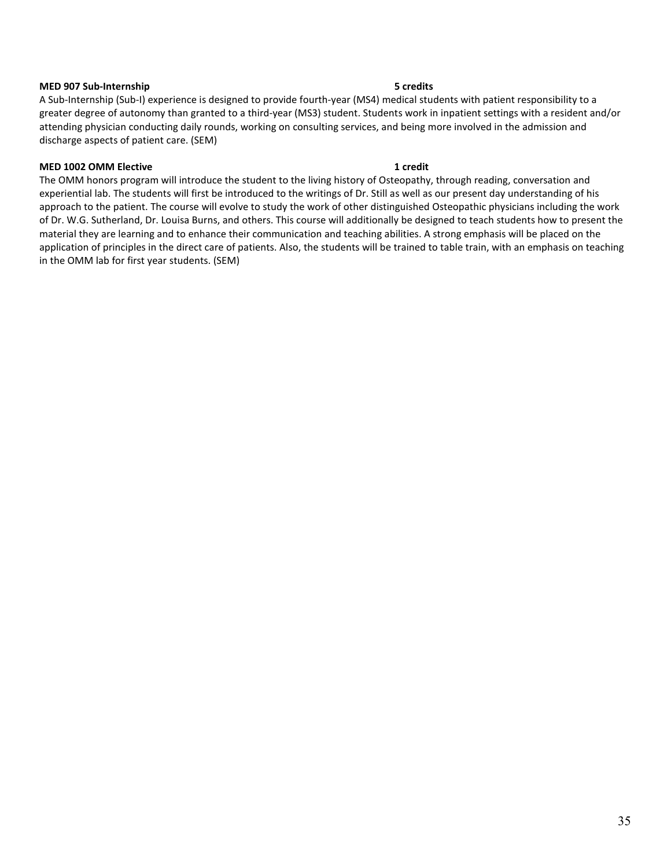#### **MED 907 Sub-Internship 5 credits**

A Sub-Internship (Sub-I) experience is designed to provide fourth-year (MS4) medical students with patient responsibility to a greater degree of autonomy than granted to a third-year (MS3) student. Students work in inpatient settings with a resident and/or attending physician conducting daily rounds, working on consulting services, and being more involved in the admission and discharge aspects of patient care. (SEM)

### **MED 1002 OMM Elective 1 credit**

The OMM honors program will introduce the student to the living history of Osteopathy, through reading, conversation and experiential lab. The students will first be introduced to the writings of Dr. Still as well as our present day understanding of his approach to the patient. The course will evolve to study the work of other distinguished Osteopathic physicians including the work of Dr. W.G. Sutherland, Dr. Louisa Burns, and others. This course will additionally be designed to teach students how to present the material they are learning and to enhance their communication and teaching abilities. A strong emphasis will be placed on the application of principles in the direct care of patients. Also, the students will be trained to table train, with an emphasis on teaching in the OMM lab for first year students. (SEM)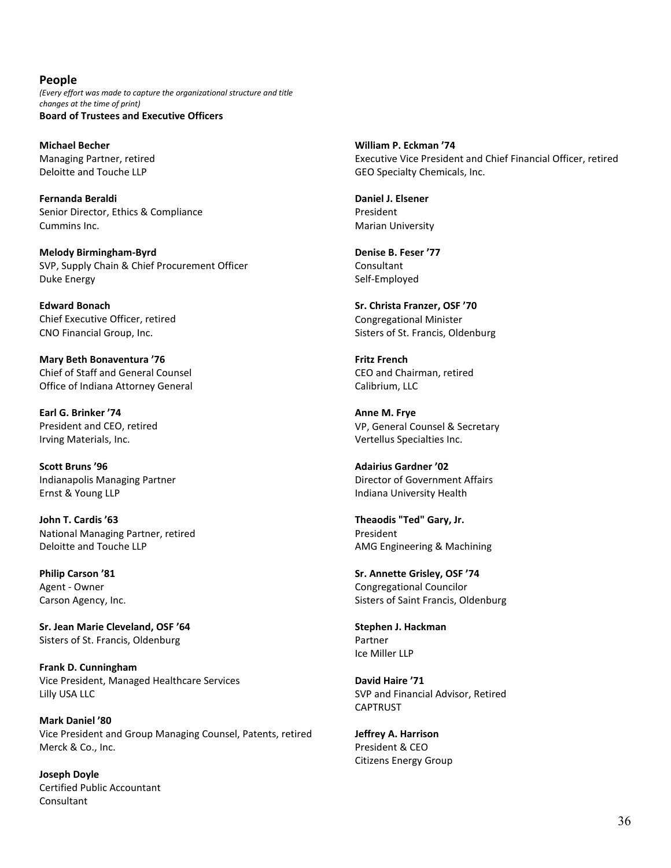# <span id="page-35-0"></span>**People**

<span id="page-35-1"></span>*(Every effort was made to capture the organizational structure and title changes at the time of print)* **Board of Trustees and Executive Officers**

**Michael Becher** Managing Partner, retired Deloitte and Touche LLP

**Fernanda Beraldi** Senior Director, Ethics & Compliance Cummins Inc.

**Melody Birmingham-Byrd** SVP, Supply Chain & Chief Procurement Officer Duke Energy

**Edward Bonach** Chief Executive Officer, retired CNO Financial Group, Inc.

**Mary Beth Bonaventura '76** Chief of Staff and General Counsel Office of Indiana Attorney General

**Earl G. Brinker '74** President and CEO, retired Irving Materials, Inc.

**Scott Bruns '96** Indianapolis Managing Partner Ernst & Young LLP

**John T. Cardis '63** National Managing Partner, retired Deloitte and Touche LLP

**Philip Carson '81** Agent - Owner Carson Agency, Inc.

**Sr. Jean Marie Cleveland, OSF '64** Sisters of St. Francis, Oldenburg

**Frank D. Cunningham** Vice President, Managed Healthcare Services Lilly USA LLC

**Mark Daniel '80** Vice President and Group Managing Counsel, Patents, retired Merck & Co., Inc.

**Joseph Doyle** Certified Public Accountant Consultant

**William P. Eckman '74** Executive Vice President and Chief Financial Officer, retired GEO Specialty Chemicals, Inc.

**Daniel J. Elsener** President Marian University

**Denise B. Feser '77** Consultant Self-Employed

**Sr. Christa Franzer, OSF '70** Congregational Minister Sisters of St. Francis, Oldenburg

**Fritz French** CEO and Chairman, retired Calibrium, LLC

**Anne M. Frye** VP, General Counsel & Secretary Vertellus Specialties Inc.

**Adairius Gardner '02** Director of Government Affairs Indiana University Health

**Theaodis "Ted" Gary, Jr.** President AMG Engineering & Machining

**Sr. Annette Grisley, OSF '74** Congregational Councilor Sisters of Saint Francis, Oldenburg

**Stephen J. Hackman** Partner Ice Miller LLP

**David Haire '71** SVP and Financial Advisor, Retired CAPTRUST

**Jeffrey A. Harrison** President & CEO Citizens Energy Group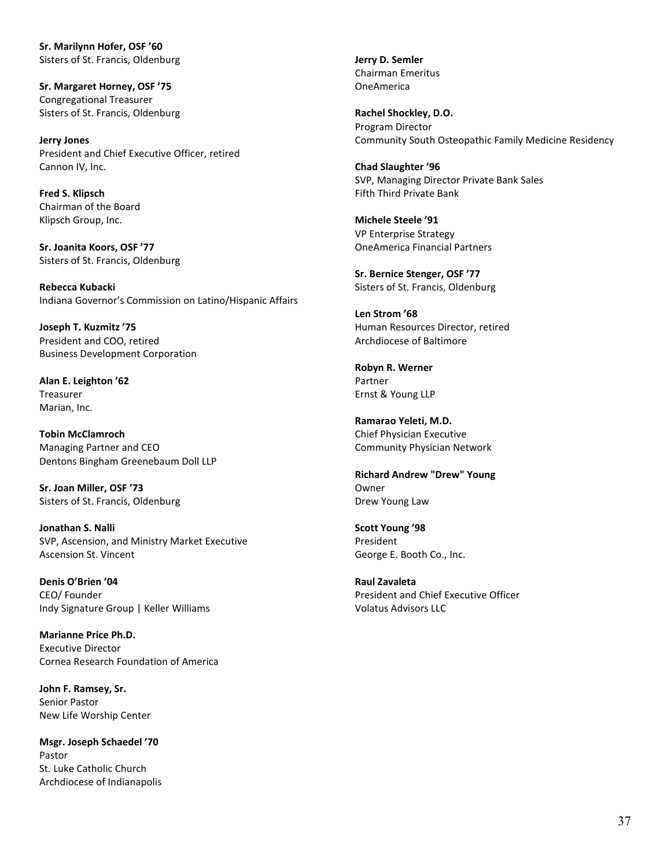**Sr. Marilynn Hofer, OSF '60** Sisters of St. Francis, Oldenburg

**Sr. Margaret Horney, OSF '75** Congregational Treasurer Sisters of St. Francis, Oldenburg

**Jerry Jones** President and Chief Executive Officer, retired Cannon IV, Inc.

**Fred S. Klipsch** Chairman of the Board Klipsch Group, Inc.

**Sr. Joanita Koors, OSF '77** Sisters of St. Francis, Oldenburg

**Rebecca Kubacki** Indiana Governor's Commission on Latino/Hispanic Affairs

**Joseph T. Kuzmitz '75** President and COO, retired Business Development Corporation

**Alan E. Leighton '62** Treasurer Marian, Inc.

**Tobin McClamroch** Managing Partner and CEO Dentons Bingham Greenebaum Doll LLP

**Sr. Joan Miller, OSF '73** Sisters of St. Francis, Oldenburg

**Jonathan S. Nalli** SVP, Ascension, and Ministry Market Executive Ascension St. Vincent

**Denis O'Brien '04** CEO/ Founder Indy Signature Group | Keller Williams

**Marianne Price Ph.D.** Executive Director Cornea Research Foundation of America

**John F. Ramsey, Sr.** Senior Pastor New Life Worship Center

**Msgr. Joseph Schaedel '70** Pastor St. Luke Catholic Church Archdiocese of Indianapolis **Jerry D. Semler** Chairman Emeritus OneAmerica

**Rachel Shockley, D.O.** Program Director Community South Osteopathic Family Medicine Residency

**Chad Slaughter '96** SVP, Managing Director Private Bank Sales Fifth Third Private Bank

**Michele Steele '91** VP Enterprise Strategy OneAmerica Financial Partners

**Sr. Bernice Stenger, OSF '77** Sisters of St. Francis, Oldenburg

**Len Strom '68** Human Resources Director, retired Archdiocese of Baltimore

**Robyn R. Werner** Partner Ernst & Young LLP

**Ramarao Yeleti, M.D.** Chief Physician Executive Community Physician Network

**Richard Andrew "Drew" Young** Owner Drew Young Law

**Scott Young '98** President George E. Booth Co., Inc.

**Raul Zavaleta** President and Chief Executive Officer Volatus Advisors LLC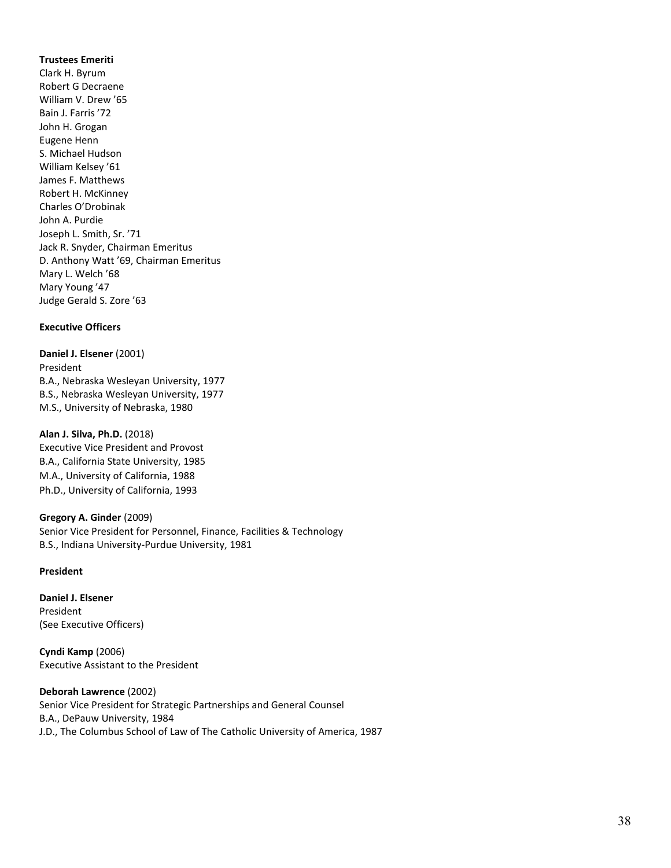#### **Trustees Emeriti**

Clark H. Byrum Robert G Decraene William V. Drew '65 Bain J. Farris '72 John H. Grogan Eugene Henn S. Michael Hudson William Kelsey '61 James F. Matthews Robert H. McKinney Charles O'Drobinak John A. Purdie Joseph L. Smith, Sr. '71 Jack R. Snyder, Chairman Emeritus D. Anthony Watt '69, Chairman Emeritus Mary L. Welch '68 Mary Young '47 Judge Gerald S. Zore '63

#### <span id="page-37-0"></span>**Executive Officers**

**Daniel J. Elsener** (2001) President B.A., Nebraska Wesleyan University, 1977 B.S., Nebraska Wesleyan University, 1977 M.S., University of Nebraska, 1980

#### **Alan J. Silva, Ph.D.** (2018) Executive Vice President and Provost

B.A., California State University, 1985 M.A., University of California, 1988 Ph.D., University of California, 1993

### **Gregory A. Ginder** (2009)

Senior Vice President for Personnel, Finance, Facilities & Technology B.S., Indiana University-Purdue University, 1981

#### **President**

**Daniel J. Elsener** President (See Executive Officers)

**Cyndi Kamp** (2006) Executive Assistant to the President

#### **Deborah Lawrence** (2002)

Senior Vice President for Strategic Partnerships and General Counsel B.A., DePauw University, 1984 J.D., The Columbus School of Law of The Catholic University of America, 1987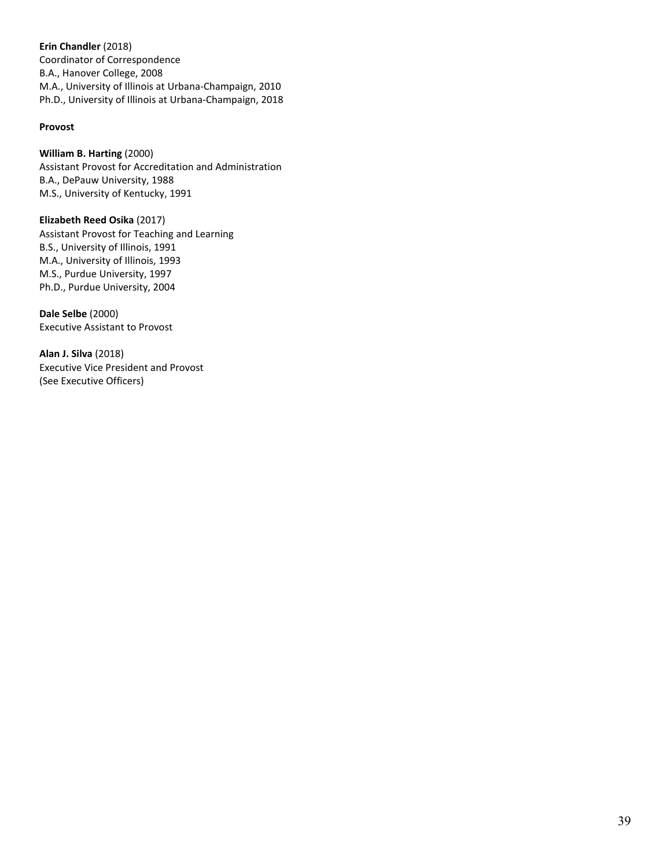**Erin Chandler** (2018) Coordinator of Correspondence B.A., Hanover College, 2008 M.A., University of Illinois at Urbana-Champaign, 2010 Ph.D., University of Illinois at Urbana-Champaign, 2018

# **Provost**

# **William B. Harting** (2000)

Assistant Provost for Accreditation and Administration B.A., DePauw University, 1988 M.S., University of Kentucky, 1991

**Elizabeth Reed Osika** (2017) Assistant Provost for Teaching and Learning B.S., University of Illinois, 1991 M.A., University of Illinois, 1993 M.S., Purdue University, 1997 Ph.D., Purdue University, 2004

**Dale Selbe** (2000) Executive Assistant to Provost

**Alan J. Silva** (2018) Executive Vice President and Provost (See Executive Officers)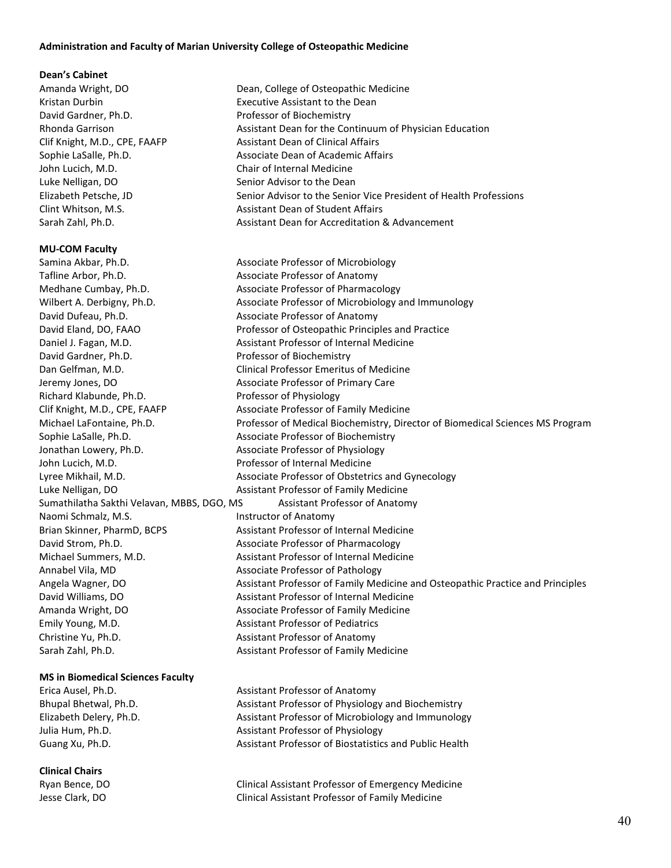#### <span id="page-39-0"></span>**Administration and Faculty of Marian University College of Osteopathic Medicine**

#### **Dean's Cabinet**

Amanda Wright, DO **Dean, College of Osteopathic Medicine** David Gardner, Ph.D. Professor of Biochemistry John Lucich, M.D. Chair of Internal Medicine Luke Nelligan, DO Senior Advisor to the Dean

#### **MU-COM Faculty**

Samina Akbar, Ph.D. Associate Professor of Microbiology Tafline Arbor, Ph.D. Associate Professor of Anatomy Medhane Cumbay, Ph.D. Associate Professor of Pharmacology David Dufeau, Ph.D. **Associate Professor of Anatomy** Daniel J. Fagan, M.D. **Assistant Professor of Internal Medicine** David Gardner, Ph.D. Professor of Biochemistry Dan Gelfman, M.D. Clinical Professor Emeritus of Medicine Jeremy Jones, DO Associate Professor of Primary Care Richard Klabunde, Ph.D. Professor of Physiology Clif Knight, M.D., CPE, FAAFP Associate Professor of Family Medicine Sophie LaSalle, Ph.D. Associate Professor of Biochemistry Jonathan Lowery, Ph.D. **Associate Professor of Physiology** John Lucich, M.D. **Professor of Internal Medicine** Luke Nelligan, DO **Assistant Professor of Family Medicine** Sumathilatha Sakthi Velavan, MBBS, DGO, MS Assistant Professor of Anatomy Naomi Schmalz, M.S. **Instructor of Anatomy** Brian Skinner, PharmD, BCPS Assistant Professor of Internal Medicine David Strom, Ph.D. Associate Professor of Pharmacology Michael Summers, M.D. Assistant Professor of Internal Medicine Annabel Vila, MD Associate Professor of Pathology David Williams, DO **Assistant Professor of Internal Medicine** Amanda Wright, DO **Associate Professor of Family Medicine** Emily Young, M.D. **Assistant Professor of Pediatrics** Christine Yu, Ph.D. **Assistant Professor of Anatomy** Sarah Zahl, Ph.D. **Assistant Professor of Family Medicine** 

#### **MS in Biomedical Sciences Faculty**

#### **Clinical Chairs**

Kristan Durbin Executive Assistant to the Dean Rhonda Garrison **Assistant Dean for the Continuum of Physician Education** Rhonda Garrison Clif Knight, M.D., CPE, FAAFP Assistant Dean of Clinical Affairs Sophie LaSalle, Ph.D. **Associate Dean of Academic Affairs** Associate Dean of Academic Affairs Elizabeth Petsche, JD Senior Advisor to the Senior Vice President of Health Professions Clint Whitson, M.S. **Assistant Dean of Student Affairs** Sarah Zahl, Ph.D. **Assistant Dean for Accreditation & Advancement** Assistant Dean for Accreditation & Advancement

Wilbert A. Derbigny, Ph.D. **Associate Professor of Microbiology and Immunology** David Eland, DO, FAAO **Professor of Osteopathic Principles and Practice** Michael LaFontaine, Ph.D. Professor of Medical Biochemistry, Director of Biomedical Sciences MS Program Lyree Mikhail, M.D. Associate Professor of Obstetrics and Gynecology Angela Wagner, DO **Angela Wagner, DO** Assistant Professor of Family Medicine and Osteopathic Practice and Principles

Erica Ausel, Ph.D. **Assistant Professor of Anatomy** Assistant Professor of Anatomy Bhupal Bhetwal, Ph.D. Assistant Professor of Physiology and Biochemistry Elizabeth Delery, Ph.D. **Assistant Professor of Microbiology and Immunology** and Immunology Julia Hum, Ph.D. **Assistant Professor of Physiology** Guang Xu, Ph.D. Assistant Professor of Biostatistics and Public Health

Ryan Bence, DO Clinical Assistant Professor of Emergency Medicine Jesse Clark, DO Clinical Assistant Professor of Family Medicine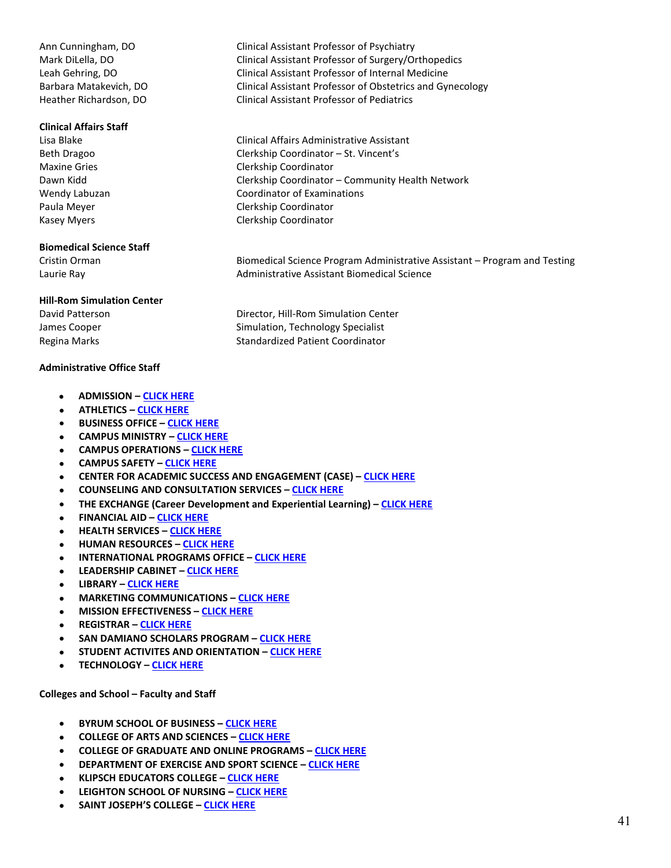#### **Clinical Affairs Staff**

#### **Biomedical Science Staff**

#### **Hill-Rom Simulation Center**

#### **Administrative Office Staff**

- **ADMISSION  [CLICK HERE](https://www.marian.edu/admissions/contact-us)**
- **ATHLETICS  [CLICK HERE](http://www.muknights.com/staff)**
- **BUSINESS OFFICE – [CLICK HERE](https://www.marian.edu/business-office/faculty-and-staff)**
- **CAMPUS MINISTRY  [CLICK HERE](https://www.marian.edu/Faith/Campus-Ministry)**
- **CAMPUS OPERATIONS – [CLICK HERE](https://www.marian.edu/campus-operations/our-staff)**
- **CAMPUS SAFETY – [CLICK HERE](https://www.marian.edu/campus-life/campus-safety/officers-and-dispatchers)**
- **CENTER FOR ACADEMIC SUCCESS AND ENGAGEMENT (CASE) – [CLICK HERE](https://www.marian.edu/campus-life/student-success-contacts)**
- **COUNSELING AND CONSULTATION SERVICES  [CLICK HERE](https://www.marian.edu/campus-life/counseling-services-and-programs/staff)**
- **THE EXCHANGE (Career Development and Experiential Learning) – [CLICK HERE](https://www.marian.edu/the-exchange/about-the-exchange)**
- **FINANCIAL AID  [CLICK HERE](https://www.marian.edu/Admissions/financial-aid/contact-us)**
- **HEALTH SERVICES – [CLICK HERE](https://www.marian.edu/campus-life/health-and-wellness/staff)**
- **HUMAN RESOURCES – [CLICK HERE](https://www.marian.edu/about-marian/human-resources/staff)**
- **INTERNATIONAL PROGRAMS OFFICE  [CLICK HERE](https://www.marian.edu/international-programs/contact-us)**
- **LEADERSHIP CABINET – [CLICK HERE](https://www.marian.edu/about-marian/leadership/cabinet)**
- **LIBRARY  [CLICK HERE](https://www.marian.edu/current-students/library/about/contact-the-library)**
- **MARKETING COMMUNICATIONS  [CLICK HERE](https://www.marian.edu/marketing-communications/this-is-who-we-are)**
- **MISSION EFFECTIVENESS – [CLICK HERE](https://www.marian.edu/faith/ministry-staff)**
- **REGISTRAR – [CLICK HERE](https://www.marian.edu/current-students/registrar/contact-the-registrar)**
- **SAN DAMIANO SCHOLARS PROGRAM – [CLICK HERE](https://www.marian.edu/faith/san-damiano-scholars#staff)**
- **STUDENT ACTIVITES AND ORIENTATION – [CLICK HERE](https://www.marian.edu/campus-life/student-activities-and-orientation/contact)**
- **TECHNOLOGY – [CLICK HERE](https://www.marian.edu/current-students/information-technology)**

#### **Colleges and School – Faculty and Staff**

- **BYRUM SCHOOL OF BUSINESS – [CLICK HERE](https://www.marian.edu/academics/byrum-school-of-business/faculty-and-staff)**
- **COLLEGE OF ARTS AND SCIENCES – [CLICK HERE](https://www.marian.edu/college-of-arts-and-sciences/faculty-and-staff)**
- **COLLEGE OF GRADUATE AND ONLINE PROGRAMS  [CLICK HERE](https://www.marian.edu/academics/marian)**
- **DEPARTMENT OF EXERCISE AND SPORT SCIENCE  [CLICK HERE](https://www.marian.edu/program-in-exercise-and-sports-science/faculty)**
- **KLIPSCH EDUCATORS COLLEGE – [CLICK HERE](https://www.marian.edu/educators-college/faculty-and-staff)**
- **LEIGHTON SCHOOL OF NURSING  [CLICK HERE](https://www.marian.edu/school-of-nursing/faculty-staff/undergrad-faculty-staff)**
- **SAINT JOSEPH'S COLLEGE – [CLICK HERE](https://findout.marian.edu/twoyearcollege/contact-us.aspx)**

Ann Cunningham, DO Clinical Assistant Professor of Psychiatry Mark DiLella, DO Clinical Assistant Professor of Surgery/Orthopedics Leah Gehring, DO Clinical Assistant Professor of Internal Medicine Barbara Matakevich, DO Clinical Assistant Professor of Obstetrics and Gynecology Heather Richardson, DO Clinical Assistant Professor of Pediatrics

Lisa Blake Clinical Affairs Administrative Assistant Beth Dragoo Clerkship Coordinator – St. Vincent's Maxine Gries Clerkship Coordinator Dawn Kidd Clerkship Coordinator – Community Health Network Wendy Labuzan Coordinator of Examinations Paula Meyer **Clerkship Coordinator** Kasey Myers **Clerkship Coordinator** 

Cristin Orman Biomedical Science Program Administrative Assistant – Program and Testing Laurie Ray Administrative Assistant Biomedical Science

David Patterson **Director**, Hill-Rom Simulation Center James Cooper Simulation, Technology Specialist Regina Marks **Standardized Patient Coordinator** Standardized Patient Coordinator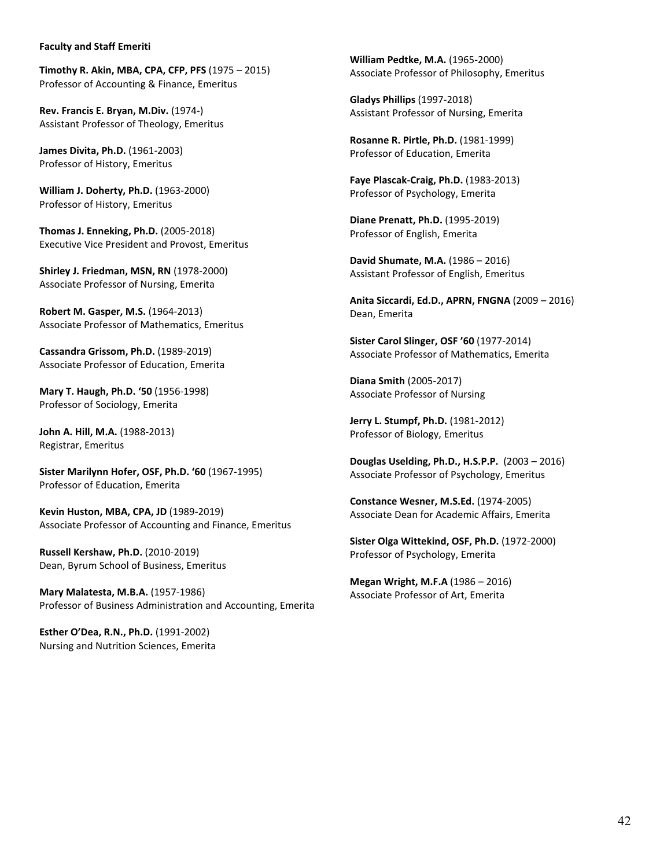#### **Faculty and Staff Emeriti**

**Timothy R. Akin, MBA, CPA, CFP, PFS** (1975 – 2015) Professor of Accounting & Finance, Emeritus

**Rev. Francis E. Bryan, M.Div.** (1974-) Assistant Professor of Theology, Emeritus

**James Divita, Ph.D.** (1961-2003) Professor of History, Emeritus

**William J. Doherty, Ph.D.** (1963-2000) Professor of History, Emeritus

**Thomas J. Enneking, Ph.D.** (2005-2018) Executive Vice President and Provost, Emeritus

**Shirley J. Friedman, MSN, RN** (1978-2000) Associate Professor of Nursing, Emerita

**Robert M. Gasper, M.S.** (1964-2013) Associate Professor of Mathematics, Emeritus

**Cassandra Grissom, Ph.D.** (1989-2019) Associate Professor of Education, Emerita

**Mary T. Haugh, Ph.D. '50** (1956-1998) Professor of Sociology, Emerita

**John A. Hill, M.A.** (1988-2013) Registrar, Emeritus

**Sister Marilynn Hofer, OSF, Ph.D. '60** (1967-1995) Professor of Education, Emerita

**Kevin Huston, MBA, CPA, JD** (1989-2019) Associate Professor of Accounting and Finance, Emeritus

**Russell Kershaw, Ph.D.** (2010-2019) Dean, Byrum School of Business, Emeritus

**Mary Malatesta, M.B.A.** (1957-1986) Professor of Business Administration and Accounting, Emerita

**Esther O'Dea, R.N., Ph.D.** (1991-2002) Nursing and Nutrition Sciences, Emerita **William Pedtke, M.A.** (1965-2000) Associate Professor of Philosophy, Emeritus

**Gladys Phillips** (1997-2018) Assistant Professor of Nursing, Emerita

**Rosanne R. Pirtle, Ph.D.** (1981-1999) Professor of Education, Emerita

**Faye Plascak-Craig, Ph.D.** (1983-2013) Professor of Psychology, Emerita

**Diane Prenatt, Ph.D.** (1995-2019) Professor of English, Emerita

**David Shumate, M.A.** (1986 – 2016) Assistant Professor of English, Emeritus

**Anita Siccardi, Ed.D., APRN, FNGNA** (2009 – 2016) Dean, Emerita

**Sister Carol Slinger, OSF '60** (1977-2014) Associate Professor of Mathematics, Emerita

**Diana Smith** (2005-2017) Associate Professor of Nursing

**Jerry L. Stumpf, Ph.D.** (1981-2012) Professor of Biology, Emeritus

**Douglas Uselding, Ph.D., H.S.P.P.** (2003 – 2016) Associate Professor of Psychology, Emeritus

**Constance Wesner, M.S.Ed.** (1974-2005) Associate Dean for Academic Affairs, Emerita

**Sister Olga Wittekind, OSF, Ph.D.** (1972-2000) Professor of Psychology, Emerita

**Megan Wright, M.F.A** (1986 – 2016) Associate Professor of Art, Emerita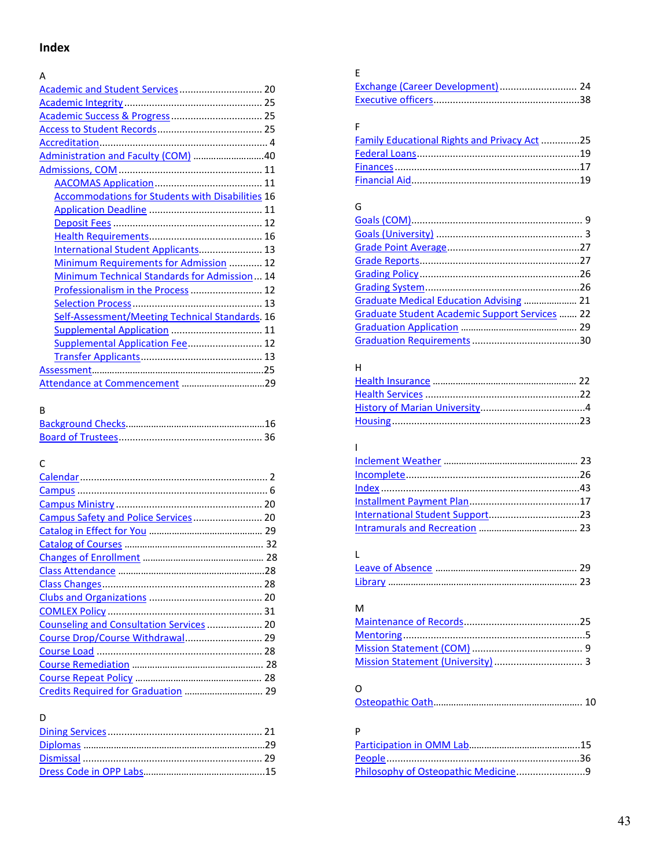# <span id="page-42-0"></span>**Index**

| А                                                       |
|---------------------------------------------------------|
|                                                         |
|                                                         |
|                                                         |
|                                                         |
|                                                         |
| Administration and Faculty (COM) 40                     |
|                                                         |
|                                                         |
| <b>Accommodations for Students with Disabilities 16</b> |
|                                                         |
|                                                         |
|                                                         |
| International Student Applicants 13                     |
| Minimum Requirements for Admission  12                  |
| Minimum Technical Standards for Admission 14            |
| Professionalism in the Process  12                      |
|                                                         |
| Self-Assessment/Meeting Technical Standards. 16         |
| Supplemental Application  11                            |
| Supplemental Application Fee  12                        |
|                                                         |
|                                                         |
|                                                         |

# B

# C

| Counseling and Consultation Services  20 |  |
|------------------------------------------|--|
| Course Drop/Course Withdrawal 29         |  |
|                                          |  |
|                                          |  |
|                                          |  |
|                                          |  |
|                                          |  |

# D

# E

# F

| Family Educational Rights and Privacy Act25 |  |
|---------------------------------------------|--|
|                                             |  |
|                                             |  |
|                                             |  |

# G

| Graduate Medical Education Advising  21        |  |
|------------------------------------------------|--|
| Graduate Student Academic Support Services  22 |  |
|                                                |  |
|                                                |  |

# H

# I

# L

## M

# O

|--|--|

# P